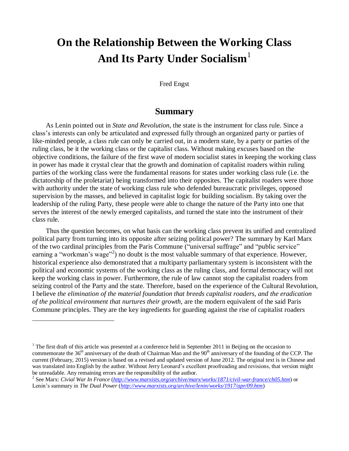# **On the Relationship Between the Working Class And Its Party Under Socialism**<sup>1</sup>

#### Fred Engst

# **Summary**

As Lenin pointed out in *State and Revolution*, the state is the instrument for class rule. Since a class's interests can only be articulated and expressed fully through an organized party or parties of like-minded people, a class rule can only be carried out, in a modern state, by a party or parties of the ruling class, be it the working class or the capitalist class. Without making excuses based on the objective conditions, the failure of the first wave of modern socialist states in keeping the working class in power has made it crystal clear that the growth and domination of capitalist roaders within ruling parties of the working class were the fundamental reasons for states under working class rule (i.e. the dictatorship of the proletariat) being transformed into their opposites. The capitalist roaders were those with authority under the state of working class rule who defended bureaucratic privileges, opposed supervision by the masses, and believed in capitalist logic for building socialism. By taking over the leadership of the ruling Party, these people were able to change the nature of the Party into one that serves the interest of the newly emerged capitalists, and turned the state into the instrument of their class rule.

Thus the question becomes, on what basis can the working class prevent its unified and centralized political party from turning into its opposite after seizing political power? The summary by Karl Marx of the two cardinal principles from the Paris Commune ("universal suffrage" and "public service" earning a "workman's wage"<sup>2</sup>) no doubt is the most valuable summary of that experience. However, historical experience also demonstrated that a multiparty parliamentary system is inconsistent with the political and economic systems of the working class as the ruling class, and formal democracy will not keep the working class in power. Furthermore, the rule of law cannot stop the capitalist roaders from seizing control of the Party and the state. Therefore, based on the experience of the Cultural Revolution, I believe *the elimination of the material foundation that breeds capitalist roaders, and the eradication of the political environment that nurtures their growth*, are the modern equivalent of the said Paris Commune principles. They are the key ingredients for guarding against the rise of capitalist roaders

<sup>&</sup>lt;sup>1</sup> The first draft of this article was presented at a conference held in September 2011 in Beijing on the occasion to commemorate the  $36<sup>th</sup>$  anniversary of the death of Chairman Mao and the  $90<sup>th</sup>$  anniversary of the founding of the CCP. The current (February, 2015) version is based on a revised and updated version of June 2012. The original text is in Chinese and was translated into English by the author. Without Jerry Leonard's excellent proofreading and revisions, that version might be unreadable. Any remaining errors are the responsibility of the author.

<sup>2</sup> See Marx: *Civial War In France* (*<http://www.marxists.org/archive/marx/works/1871/civil-war-france/ch05.htm>*) or Lenin's summary in *The Dual Power* (*<http://www.marxists.org/archive/lenin/works/1917/apr/09.htm>*)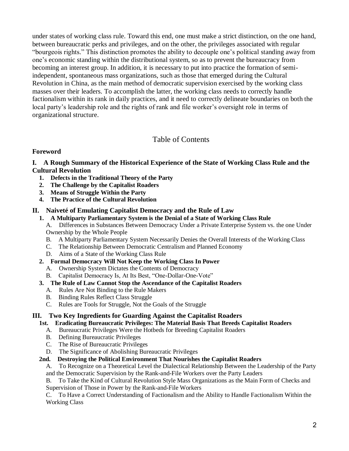under states of working class rule. Toward this end, one must make a strict distinction, on the one hand, between bureaucratic perks and privileges, and on the other, the privileges associated with regular "bourgeois rights." This distinction promotes the ability to decouple one's political standing away from one's economic standing within the distributional system, so as to prevent the bureaucracy from becoming an interest group. In addition, it is necessary to put into practice the formation of semiindependent, spontaneous mass organizations, such as those that emerged during the Cultural Revolution in China, as the main method of democratic supervision exercised by the working class masses over their leaders. To accomplish the latter, the working class needs to correctly handle factionalism within its rank in daily practices, and it need to correctly delineate boundaries on both the local party's leadership role and the rights of rank and file worker's oversight role in terms of organizational structure.

# Table of Contents

#### **Foreword**

#### **I. A Rough Summary of the Historical Experience of the State of Working Class Rule and the Cultural Revolution**

- **1. Defects in the Traditional Theory of the Party**
- **2. The Challenge by the Capitalist Roaders**
- **3. Means of Struggle Within the Party**
- **4. The Practice of the Cultural Revolution**

#### **II. Naiveté of Emulating Capitalist Democracy and the Rule of Law**

**1. A Multiparty Parliamentary System is the Denial of a State of Working Class Rule**

A. Differences in Substances Between Democracy Under a Private Enterprise System vs. the one Under Ownership by the Whole People

- B. A Multiparty Parliamentary System Necessarily Denies the Overall Interests of the Working Class
- C. The Relationship Between Democratic Centralism and Planned Economy
- D. Aims of a State of the Working Class Rule

#### **2. Formal Democracy Will Not Keep the Working Class In Power**

- A. Ownership System Dictates the Contents of Democracy
- B. Capitalist Democracy Is, At Its Best, "One-Dollar-One-Vote"

#### **3. The Rule of Law Cannot Stop the Ascendance of the Capitalist Roaders**

- A. Rules Are Not Binding to the Rule Makers
- B. Binding Rules Reflect Class Struggle
- C. Rules are Tools for Struggle, Not the Goals of the Struggle

#### **III. Two Key Ingredients for Guarding Against the Capitalist Roaders**

#### **1st. Eradicating Bureaucratic Privileges: The Material Basis That Breeds Capitalist Roaders**

- A. Bureaucratic Privileges Were the Hotbeds for Breeding Capitalist Roaders
- B. Defining Bureaucratic Privileges
- C. The Rise of Bureaucratic Privileges
- D. The Significance of Abolishing Bureaucratic Privileges

#### **2nd. Destroying the Political Environment That Nourishes the Capitalist Roaders**

A. To Recognize on a Theoretical Level the Dialectical Relationship Between the Leadership of the Party and the Democratic Supervision by the Rank-and-File Workers over the Party Leaders

B. To Take the Kind of Cultural Revolution Style Mass Organizations as the Main Form of Checks and Supervision of Those in Power by the Rank-and-File Workers

C. To Have a Correct Understanding of Factionalism and the Ability to Handle Factionalism Within the Working Class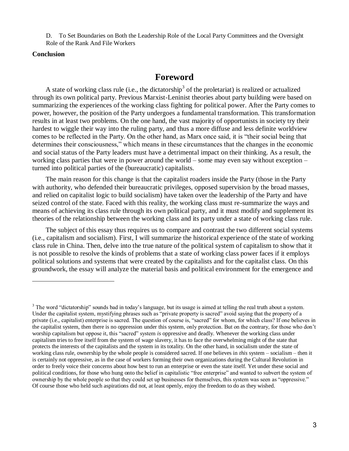D. To Set Boundaries on Both the Leadership Role of the Local Party Committees and the Oversight Role of the Rank And File Workers

#### **Conclusion**

l

# **Foreword**

A state of working class rule (i.e., the dictatorship<sup>3</sup> of the proletariat) is realized or actualized through its own political party. Previous Marxist-Leninist theories about party building were based on summarizing the experiences of the working class fighting for political power. After the Party comes to power, however, the position of the Party undergoes a fundamental transformation. This transformation results in at least two problems. On the one hand, the vast majority of opportunists in society try their hardest to wiggle their way into the ruling party, and thus a more diffuse and less definite worldview comes to be reflected in the Party. On the other hand, as Marx once said, it is "their social being that determines their consciousness," which means in these circumstances that the changes in the economic and social status of the Party leaders must have a detrimental impact on their thinking. As a result, the working class parties that were in power around the world – some may even say without exception – turned into political parties of the (bureaucratic) capitalists.

The main reason for this change is that the capitalist roaders inside the Party (those in the Party with authority, who defended their bureaucratic privileges, opposed supervision by the broad masses, and relied on capitalist logic to build socialism) have taken over the leadership of the Party and have seized control of the state. Faced with this reality, the working class must re-summarize the ways and means of achieving its class rule through its own political party, and it must modify and supplement its theories of the relationship between the working class and its party under a state of working class rule.

The subject of this essay thus requires us to compare and contrast the two different social systems (i.e., capitalism and socialism). First, I will summarize the historical experience of the state of working class rule in China. Then, delve into the true nature of the political system of capitalism to show that it is not possible to resolve the kinds of problems that a state of working class power faces if it employs political solutions and systems that were created by the capitalists and for the capitalist class. On this groundwork, the essay will analyze the material basis and political environment for the emergence and

<sup>&</sup>lt;sup>3</sup> The word "dictatorship" sounds bad in today's language, but its usage is aimed at telling the real truth about a system. Under the capitalist system, mystifying phrases such as "private property is sacred" avoid saying that the property of a private (i.e., capitalist) enterprise is sacred. The question of course is, "sacred" for whom, for which class? If one believes in the capitalist system, then there is no oppression under this system, only protection. But on the contrary, for those who don't worship capitalism but oppose it, this "sacred" system *is* oppressive and deadly. Whenever the working class under capitalism tries to free itself from the system of wage slavery, it has to face the overwhelming might of the state that protects the interests of the capitalists and the system in its totality. On the other hand, in socialism under the state of working class rule, ownership by the whole people is considered sacred. If one believes in *this* system – socialism – then it is certainly not oppressive, as in the case of workers forming their own organizations during the Cultural Revolution in order to freely voice their concerns about how best to run an enterprise or even the state itself. Yet under these social and political conditions, for those who hung onto the belief in capitalistic "free enterprise" and wanted to subvert the system of ownership by the whole people so that they could set up businesses for themselves, this system was seen as "oppressive." Of course those who held such aspirations did not, at least openly, enjoy the freedom to do as they wished.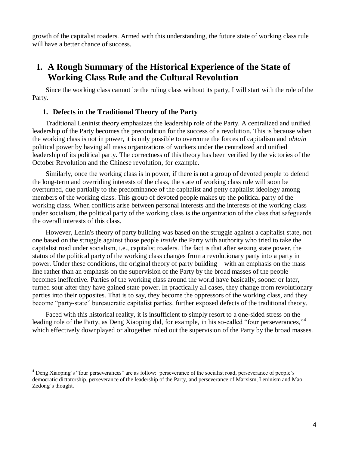growth of the capitalist roaders. Armed with this understanding, the future state of working class rule will have a better chance of success.

# **I. A Rough Summary of the Historical Experience of the State of Working Class Rule and the Cultural Revolution**

Since the working class cannot be the ruling class without its party, I will start with the role of the Party.

#### **1. Defects in the Traditional Theory of the Party**

 $\overline{a}$ 

Traditional Leninist theory emphasizes the leadership role of the Party. A centralized and unified leadership of the Party becomes the precondition for the success of a revolution. This is because when the working class is not in power, it is only possible to overcome the forces of capitalism and *obtain* political power by having all mass organizations of workers under the centralized and unified leadership of its political party. The correctness of this theory has been verified by the victories of the October Revolution and the Chinese revolution, for example.

Similarly, once the working class is in power, if there is not a group of devoted people to defend the long-term and overriding interests of the class, the state of working class rule will soon be overturned, due partially to the predominance of the capitalist and petty capitalist ideology among members of the working class. This group of devoted people makes up the political party of the working class. When conflicts arise between personal interests and the interests of the working class under socialism, the political party of the working class is the organization of the class that safeguards the overall interests of this class.

However, Lenin's theory of party building was based on the struggle against a capitalist state, not one based on the struggle against those people *inside* the Party with authority who tried to take the capitalist road under socialism, i.e., capitalist roaders. The fact is that after seizing state power, the status of the political party of the working class changes from a revolutionary party into a party in power. Under these conditions, the original theory of party building – with an emphasis on the mass line rather than an emphasis on the supervision of the Party by the broad masses of the people – becomes ineffective. Parties of the working class around the world have basically, sooner or later, turned sour after they have gained state power. In practically all cases, they change from revolutionary parties into their opposites. That is to say, they become the oppressors of the working class, and they become "party-state" bureaucratic capitalist parties, further exposed defects of the traditional theory.

Faced with this historical reality, it is insufficient to simply resort to a one-sided stress on the leading role of the Party, as Deng Xiaoping did, for example, in his so-called "four perseverances,"<sup>4</sup> which effectively downplayed or altogether ruled out the supervision of the Party by the broad masses.

<sup>4</sup> Deng Xiaoping's "four perseverances" are as follow: perseverance of the socialist road, perseverance of people's democratic dictatorship, perseverance of the leadership of the Party, and perseverance of Marxism, Leninism and Mao Zedong's thought.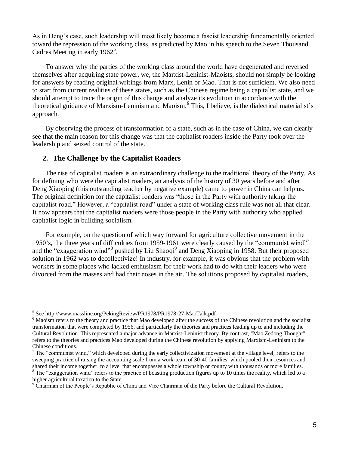As in Deng's case, such leadership will most likely become a fascist leadership fundamentally oriented toward the repression of the working class, as predicted by Mao in his speech to the Seven Thousand Cadres Meeting in early  $1962^5$ .

To answer why the parties of the working class around the world have degenerated and reversed themselves after acquiring state power, we, the Marxist-Leninist-Maoists, should not simply be looking for answers by reading original writings from Marx, Lenin or Mao. That is not sufficient. We also need to start from current realities of these states, such as the Chinese regime being a capitalist state, and we should attempt to trace the origin of this change and analyze its evolution in accordance with the theoretical guidance of Marxism-Leninism and Maoism.<sup>6</sup> This, I believe, is the dialectical materialist's approach.

By observing the process of transformation of a state, such as in the case of China, we can clearly see that the main reason for this change was that the capitalist roaders inside the Party took over the leadership and seized control of the state.

## **2. The Challenge by the Capitalist Roaders**

The rise of capitalist roaders is an extraordinary challenge to the traditional theory of the Party. As for defining who were the capitalist roaders, an analysis of the history of 30 years before and after Deng Xiaoping (this outstanding teacher by negative example) came to power in China can help us. The original definition for the capitalist roaders was "those in the Party with authority taking the capitalist road." However, a "capitalist road" under a state of working class rule was not all that clear. It now appears that the capitalist roaders were those people in the Party with authority who applied capitalist logic in building socialism.

For example, on the question of which way forward for agriculture collective movement in the 1950's, the three years of difficulties from 1959-1961 were clearly caused by the "communist wind"<sup>7</sup> and the "exaggeration wind"<sup>8</sup> pushed by Liu Shaoqi<sup>9</sup> and Deng Xiaoping in 1958. But their proposed solution in 1962 was to decollectivize! In industry, for example, it was obvious that the problem with workers in some places who lacked enthusiasm for their work had to do with their leaders who were divorced from the masses and had their noses in the air. The solutions proposed by capitalist roaders,

<sup>&</sup>lt;sup>5</sup> See http://www.massline.org/PekingReview/PR1978/PR1978-27-MaoTalk.pdf

<sup>&</sup>lt;sup>6</sup> Maoism refers to the theory and practice that Mao developed after the success of the Chinese revolution and the socialist transformation that were completed by 1956, and particularly the theories and practices leading up to and including the Cultural Revolution. This represented a major advance in Marxist-Leninist theory. By contrast, "Mao Zedong Thought" refers to the theories and practices Mao developed during the Chinese revolution by applying Marxism-Leninism to the Chinese conditions.

 $<sup>7</sup>$  The "communist wind," which developed during the early collectivization movement at the village level, refers to the</sup> sweeping practice of raising the accounting scale from a work-team of 30-40 families, which pooled their resources and shared their income together, to a level that encompasses a whole township or county with thousands or more families.  $8$  The "exaggeration wind" refers to the practice of boasting production figures up to 10 times the reality, which led to a

higher agricultural taxation to the State.

<sup>&</sup>lt;sup>9</sup> Chairman of the People's Republic of China and Vice Chairman of the Party before the Cultural Revolution.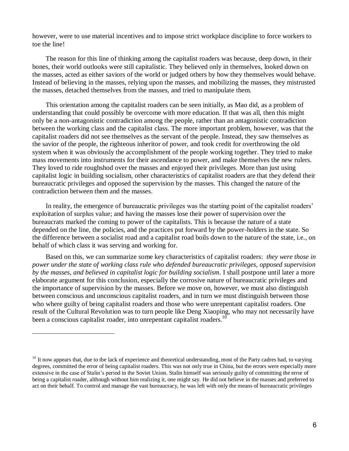however, were to use material incentives and to impose strict workplace discipline to force workers to toe the line!

The reason for this line of thinking among the capitalist roaders was because, deep down, in their bones, their world outlooks were still capitalistic. They believed only in themselves, looked down on the masses, acted as either saviors of the world or judged others by how they themselves would behave. Instead of believing in the masses, relying upon the masses, and mobilizing the masses, they mistrusted the masses, detached themselves from the masses, and tried to manipulate them.

This orientation among the capitalist roaders can be seen initially, as Mao did, as a problem of understanding that could possibly be overcome with more education. If that was all, then this might only be a non-antagonistic contradiction among the people, rather than an antagonistic contradiction between the working class and the capitalist class. The more important problem, however, was that the capitalist roaders did not see themselves as the servant of the people. Instead, they saw themselves as the savior of the people, the righteous inheritor of power, and took credit for overthrowing the old system when it was obviously the accomplishment of the people working together. They tried to make mass movements into instruments for their ascendance to power, and make themselves the new rulers. They loved to ride roughshod over the masses and enjoyed their privileges. More than just using capitalist logic in building socialism, other characteristics of capitalist roaders are that they defend their bureaucratic privileges and opposed the supervision by the masses. This changed the nature of the contradiction between them and the masses.

In reality, the emergence of bureaucratic privileges was the starting point of the capitalist roaders' exploitation of surplus value; and having the masses lose their power of supervision over the bureaucrats marked the coming to power of the capitalists. This is because the nature of a state depended on the line, the policies, and the practices put forward by the power-holders in the state. So the difference between a socialist road and a capitalist road boils down to the nature of the state, i.e., on behalf of which class it was serving and working for.

Based on this, we can summarize some key characteristics of capitalist roaders: *they were those in power under the state of working class rule who defended bureaucratic privileges, opposed supervision by the masses, and believed in capitalist logic for building socialism*. I shall postpone until later a more elaborate argument for this conclusion, especially the corrosive nature of bureaucratic privileges and the importance of supervision by the masses. Before we move on, however, we must also distinguish between conscious and unconscious capitalist roaders, and in turn we must distinguish between those who where guilty of being capitalist roaders and those who were unrepentant capitalist roaders. One result of the Cultural Revolution was to turn people like Deng Xiaoping, who may not necessarily have been a conscious capitalist roader, into unrepentant capitalist roaders.<sup>10</sup>

l

 $10<sup>10</sup>$  It now appears that, due to the lack of experience and theoretical understanding, most of the Party cadres had, to varying degrees, committed the error of being capitalist roaders. This was not only true in China, but the errors were especially more extensive in the case of Stalin's period in the Soviet Union. Stalin himself was seriously guilty of committing the error of being a capitalist roader, although without him realizing it, one might say. He did not believe in the masses and preferred to act on their behalf. To control and manage the vast bureaucracy, he was left with only the means of bureaucratic privileges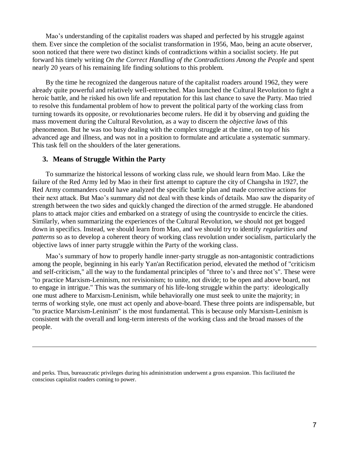Mao's understanding of the capitalist roaders was shaped and perfected by his struggle against them. Ever since the completion of the socialist transformation in 1956, Mao, being an acute observer, soon noticed that there were two distinct kinds of contradictions within a socialist society. He put forward his timely writing *On the Correct Handling of the Contradictions Among the People* and spent nearly 20 years of his remaining life finding solutions to this problem.

By the time he recognized the dangerous nature of the capitalist roaders around 1962, they were already quite powerful and relatively well-entrenched. Mao launched the Cultural Revolution to fight a heroic battle, and he risked his own life and reputation for this last chance to save the Party. Mao tried to resolve this fundamental problem of how to prevent the political party of the working class from turning towards its opposite, or revolutionaries become rulers. He did it by observing and guiding the mass movement during the Cultural Revolution, as a way to discern the *objective laws* of this phenomenon. But he was too busy dealing with the complex struggle at the time, on top of his advanced age and illness, and was not in a position to formulate and articulate a systematic summary. This task fell on the shoulders of the later generations.

#### **3. Means of Struggle Within the Party**

 $\overline{a}$ 

To summarize the historical lessons of working class rule, we should learn from Mao. Like the failure of the Red Army led by Mao in their first attempt to capture the city of Changsha in 1927, the Red Army commanders could have analyzed the specific battle plan and made corrective actions for their next attack. But Mao's summary did not deal with these kinds of details. Mao saw the disparity of strength between the two sides and quickly changed the direction of the armed struggle. He abandoned plans to attack major cities and embarked on a strategy of using the countryside to encircle the cities. Similarly, when summarizing the experiences of the Cultural Revolution, we should not get bogged down in specifics. Instead, we should learn from Mao, and we should try to identify *regularities and patterns* so as to develop a coherent theory of working class revolution under socialism, particularly the objective laws of inner party struggle within the Party of the working class.

Mao's summary of how to properly handle inner-party struggle as non-antagonistic contradictions among the people, beginning in his early Yan'an Rectification period, elevated the method of "criticism and self-criticism," all the way to the fundamental principles of "three to's and three not's". These were "to practice Marxism-Leninism, not revisionism; to unite, not divide; to be open and above board, not to engage in intrigue." This was the summary of his life-long struggle within the party: ideologically one must adhere to Marxism-Leninism, while behaviorally one must seek to unite the majority; in terms of working style, one must act openly and above-board. These three points are indispensable, but "to practice Marxism-Leninism" is the most fundamental. This is because only Marxism-Leninism is consistent with the overall and long-term interests of the working class and the broad masses of the people.

and perks. Thus, bureaucratic privileges during his administration underwent a gross expansion. This facilitated the conscious capitalist roaders coming to power.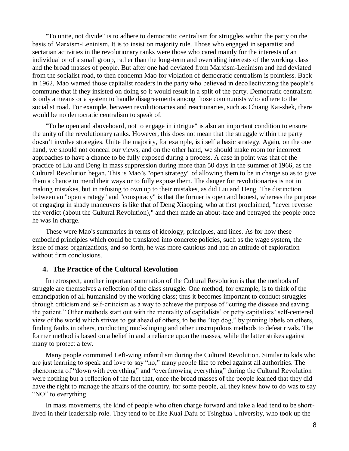"To unite, not divide" is to adhere to democratic centralism for struggles within the party on the basis of Marxism-Leninism. It is to insist on majority rule. Those who engaged in separatist and sectarian activities in the revolutionary ranks were those who cared mainly for the interests of an individual or of a small group, rather than the long-term and overriding interests of the working class and the broad masses of people. But after one had deviated from Marxism-Leninism and had deviated from the socialist road, to then condemn Mao for violation of democratic centralism is pointless. Back in 1962, Mao warned those capitalist roaders in the party who believed in decollectivizing the people's commune that if they insisted on doing so it would result in a split of the party. Democratic centralism is only a means or a system to handle disagreements among those communists who adhere to the socialist road. For example, between revolutionaries and reactionaries, such as Chiang Kai-shek, there would be no democratic centralism to speak of.

"To be open and aboveboard, not to engage in intrigue" is also an important condition to ensure the unity of the revolutionary ranks. However, this does not mean that the struggle within the party doesn't involve strategies. Unite the majority, for example, is itself a basic strategy. Again, on the one hand, we should not conceal our views, and on the other hand, we should make room for incorrect approaches to have a chance to be fully exposed during a process. A case in point was that of the practice of Liu and Deng in mass suppression during more than 50 days in the summer of 1966, as the Cultural Revolution began. This is Mao's "open strategy" of allowing them to be in charge so as to give them a chance to mend their ways or to fully expose them. The danger for revolutionaries is not in making mistakes, but in refusing to own up to their mistakes, as did Liu and Deng. The distinction between an "open strategy" and "conspiracy" is that the former is open and honest, whereas the purpose of engaging in shady maneuvers is like that of Deng Xiaoping, who at first proclaimed, "never reverse the verdict (about the Cultural Revolution)," and then made an about-face and betrayed the people once he was in charge.

These were Mao's summaries in terms of ideology, principles, and lines. As for how these embodied principles which could be translated into concrete policies, such as the wage system, the issue of mass organizations, and so forth, he was more cautious and had an attitude of exploration without firm conclusions.

#### **4. The Practice of the Cultural Revolution**

In retrospect, another important summation of the Cultural Revolution is that the methods of struggle are themselves a reflection of the class struggle. One method, for example, is to think of the emancipation of all humankind by the working class; thus it becomes important to conduct struggles through criticism and self-criticism as a way to achieve the purpose of "curing the disease and saving the patient." Other methods start out with the mentality of capitalists' or petty capitalists' self-centered view of the world which strives to get ahead of others, to be the "top dog," by pinning labels on others, finding faults in others, conducting mud-slinging and other unscrupulous methods to defeat rivals. The former method is based on a belief in and a reliance upon the masses, while the latter strikes against many to protect a few.

Many people committed Left-wing infantilism during the Cultural Revolution. Similar to kids who are just learning to speak and love to say "no," many people like to rebel against all authorities. The phenomena of "down with everything" and "overthrowing everything" during the Cultural Revolution were nothing but a reflection of the fact that, once the broad masses of the people learned that they did have the right to manage the affairs of the country, for some people, all they knew how to do was to say "NO" to everything.

In mass movements, the kind of people who often charge forward and take a lead tend to be shortlived in their leadership role. They tend to be like Kuai Dafu of Tsinghua University, who took up the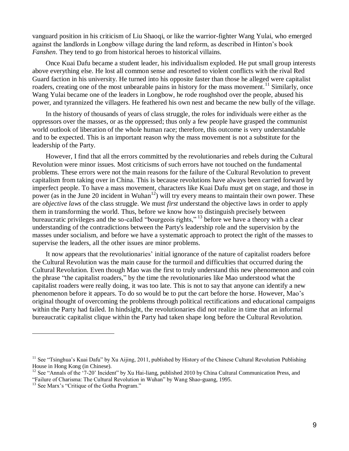vanguard position in his criticism of Liu Shaoqi, or like the warrior-fighter Wang Yulai, who emerged against the landlords in Longbow village during the land reform, as described in Hinton's book *Fanshen*. They tend to go from historical heroes to historical villains.

Once Kuai Dafu became a student leader, his individualism exploded. He put small group interests above everything else. He lost all common sense and resorted to violent conflicts with the rival Red Guard faction in his university. He turned into his opposite faster than those he alleged were capitalist roaders, creating one of the most unbearable pains in history for the mass movement.<sup>11</sup> Similarly, once Wang Yulai became one of the leaders in Longbow, he rode roughshod over the people, abused his power, and tyrannized the villagers. He feathered his own nest and became the new bully of the village.

In the history of thousands of years of class struggle, the roles for individuals were either as the oppressors over the masses, or as the oppressed; thus only a few people have grasped the communist world outlook of liberation of the whole human race; therefore, this outcome is very understandable and to be expected. This is an important reason why the mass movement is not a substitute for the leadership of the Party.

However, I find that all the errors committed by the revolutionaries and rebels during the Cultural Revolution were minor issues. Most criticisms of such errors have not touched on the fundamental problems. These errors were not the main reasons for the failure of the Cultural Revolution to prevent capitalism from taking over in China. This is because revolutions have always been carried forward by imperfect people. To have a mass movement, characters like Kuai Dafu must get on stage, and those in power (as in the June 20 incident in Wuhan<sup>12</sup>) will try every means to maintain their own power. These are *objective laws* of the class struggle. We must *first* understand the objective laws in order to apply them in transforming the world. Thus, before we know how to distinguish precisely between bureaucratic privileges and the so-called "bourgeois rights,"<sup>13</sup> before we have a theory with a clear understanding of the contradictions between the Party's leadership role and the supervision by the masses under socialism, and before we have a systematic approach to protect the right of the masses to supervise the leaders, all the other issues are minor problems.

It now appears that the revolutionaries' initial ignorance of the nature of capitalist roaders before the Cultural Revolution was the main cause for the turmoil and difficulties that occurred during the Cultural Revolution. Even though Mao was the first to truly understand this new phenomenon and coin the phrase "the capitalist roaders," by the time the revolutionaries like Mao understood what the capitalist roaders were really doing, it was too late. This is not to say that anyone can identify a new phenomenon before it appears. To do so would be to put the cart before the horse. However, Mao's original thought of overcoming the problems through political rectifications and educational campaigns within the Party had failed. In hindsight, the revolutionaries did not realize in time that an informal bureaucratic capitalist clique within the Party had taken shape long before the Cultural Revolution.

l

 $11$  See "Tsinghua's Kuai Dafu" by Xu Aijing, 2011, published by History of the Chinese Cultural Revolution Publishing House in Hong Kong (in Chinese).

<sup>&</sup>lt;sup>12</sup> See "Annals of the '7-20' Incident" by Xu Hai-liang, published 2010 by China Cultural Communication Press, and

<sup>&</sup>quot;Failure of Charisma: The Cultural Revolution in Wuhan" by Wang Shao-guang, 1995.

<sup>&</sup>lt;sup>13</sup> See Marx's "Critique of the Gotha Program."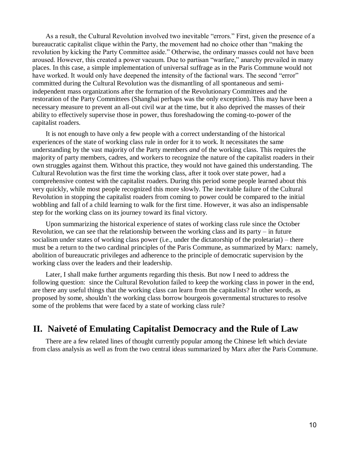As a result, the Cultural Revolution involved two inevitable "errors." First, given the presence of a bureaucratic capitalist clique within the Party, the movement had no choice other than "making the revolution by kicking the Party Committee aside." Otherwise, the ordinary masses could not have been aroused. However, this created a power vacuum. Due to partisan "warfare," anarchy prevailed in many places. In this case, a simple implementation of universal suffrage as in the Paris Commune would not have worked. It would only have deepened the intensity of the factional wars. The second "error" committed during the Cultural Revolution was the dismantling of all spontaneous and semiindependent mass organizations after the formation of the Revolutionary Committees and the restoration of the Party Committees (Shanghai perhaps was the only exception). This may have been a necessary measure to prevent an all-out civil war at the time, but it also deprived the masses of their ability to effectively supervise those in power, thus foreshadowing the coming-to-power of the capitalist roaders.

It is not enough to have only a few people with a correct understanding of the historical experiences of the state of working class rule in order for it to work. It necessitates the same understanding by the vast majority of the Party members *and* of the working class. This requires the majority of party members, cadres, and workers to recognize the nature of the capitalist roaders in their own struggles against them. Without this practice, they would not have gained this understanding. The Cultural Revolution was the first time the working class, after it took over state power, had a comprehensive contest with the capitalist roaders. During this period some people learned about this very quickly, while most people recognized this more slowly. The inevitable failure of the Cultural Revolution in stopping the capitalist roaders from coming to power could be compared to the initial wobbling and fall of a child learning to walk for the first time. However, it was also an indispensable step for the working class on its journey toward its final victory.

Upon summarizing the historical experience of states of working class rule since the October Revolution, we can see that the relationship between the working class and its party – in future socialism under states of working class power (i.e., under the dictatorship of the proletariat) – there must be a return to the two cardinal principles of the Paris Commune, as summarized by Marx: namely, abolition of bureaucratic privileges and adherence to the principle of democratic supervision by the working class over the leaders and their leadership.

Later, I shall make further arguments regarding this thesis. But now I need to address the following question: since the Cultural Revolution failed to keep the working class in power in the end, are there any useful things that the working class can learn from the capitalists? In other words, as proposed by some, shouldn't the working class borrow bourgeois governmental structures to resolve some of the problems that were faced by a state of working class rule?

# **II. Naiveté of Emulating Capitalist Democracy and the Rule of Law**

There are a few related lines of thought currently popular among the Chinese left which deviate from class analysis as well as from the two central ideas summarized by Marx after the Paris Commune.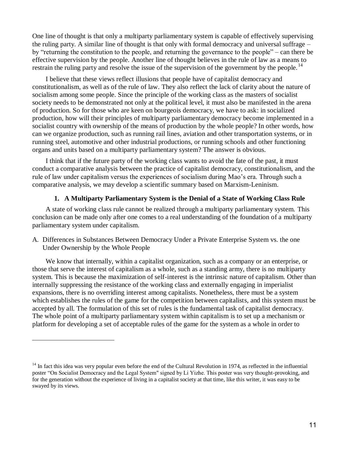One line of thought is that only a multiparty parliamentary system is capable of effectively supervising the ruling party. A similar line of thought is that only with formal democracy and universal suffrage – by "returning the constitution to the people, and returning the governance to the people" – can there be effective supervision by the people. Another line of thought believes in the rule of law as a means to restrain the ruling party and resolve the issue of the supervision of the government by the people.<sup>14</sup>

I believe that these views reflect illusions that people have of capitalist democracy and constitutionalism, as well as of the rule of law. They also reflect the lack of clarity about the nature of socialism among some people. Since the principle of the working class as the masters of socialist society needs to be demonstrated not only at the political level, it must also be manifested in the arena of production. So for those who are keen on bourgeois democracy, we have to ask: in socialized production, how will their principles of multiparty parliamentary democracy become implemented in a socialist country with ownership of the means of production by the whole people? In other words, how can we organize production, such as running rail lines, aviation and other transportation systems, or in running steel, automotive and other industrial productions, or running schools and other functioning organs and units based on a multiparty parliamentary system? The answer is obvious.

I think that if the future party of the working class wants to avoid the fate of the past, it must conduct a comparative analysis between the practice of capitalist democracy, constitutionalism, and the rule of law under capitalism versus the experiences of socialism during Mao's era. Through such a comparative analysis, we may develop a scientific summary based on Marxism-Leninism.

#### **1. A Multiparty Parliamentary System is the Denial of a State of Working Class Rule**

A state of working class rule cannot be realized through a multiparty parliamentary system. This conclusion can be made only after one comes to a real understanding of the foundation of a multiparty parliamentary system under capitalism.

A. Differences in Substances Between Democracy Under a Private Enterprise System vs. the one Under Ownership by the Whole People

We know that internally, within a capitalist organization, such as a company or an enterprise, or those that serve the interest of capitalism as a whole, such as a standing army, there is no multiparty system. This is because the maximization of self-interest is the intrinsic nature of capitalism. Other than internally suppressing the resistance of the working class and externally engaging in imperialist expansions, there is no overriding interest among capitalists. Nonetheless, there must be a system which establishes the rules of the game for the competition between capitalists, and this system must be accepted by all. The formulation of this set of rules is the fundamental task of capitalist democracy. The whole point of a multiparty parliamentary system within capitalism is to set up a mechanism or platform for developing a set of acceptable rules of the game for the system as a whole in order to

 $14$  In fact this idea was very popular even before the end of the Cultural Revolution in 1974, as reflected in the influential poster "On Socialist Democracy and the Legal System" signed by Li Yizhe. This poster was very thought-provoking, and for the generation without the experience of living in a capitalist society at that time, like this writer, it was easy to be swayed by its views.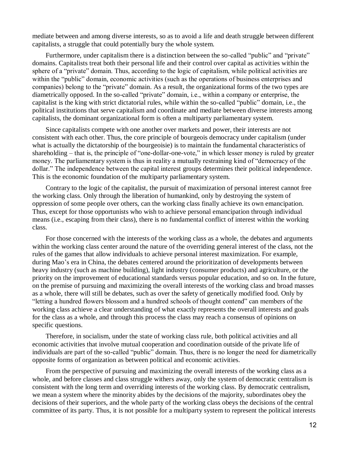mediate between and among diverse interests, so as to avoid a life and death struggle between different capitalists, a struggle that could potentially bury the whole system.

Furthermore, under capitalism there is a distinction between the so-called "public" and "private" domains. Capitalists treat both their personal life and their control over capital as activities within the sphere of a "private" domain. Thus, according to the logic of capitalism, while political activities are within the "public" domain, economic activities (such as the operations of business enterprises and companies) belong to the "private" domain. As a result, the organizational forms of the two types are diametrically opposed. In the so-called "private" domain, i.e., within a company or enterprise, the capitalist is the king with strict dictatorial rules, while within the so-called "public" domain, i.e., the political institutions that serve capitalism and coordinate and mediate between diverse interests among capitalists, the dominant organizational form is often a multiparty parliamentary system.

Since capitalists compete with one another over markets and power, their interests are not consistent with each other. Thus, the core principle of bourgeois democracy under capitalism (under what is actually the dictatorship of the bourgeoisie) is to maintain the fundamental characteristics of shareholding – that is, the principle of "one-dollar-one-vote," in which lesser money is ruled by greater money. The parliamentary system is thus in reality a mutually restraining kind of "democracy of the dollar." The independence between the capital interest groups determines their political independence. This is the economic foundation of the multiparty parliamentary system.

Contrary to the logic of the capitalist, the pursuit of maximization of personal interest cannot free the working class. Only through the liberation of humankind, only by destroying the system of oppression of some people over others, can the working class finally achieve its own emancipation. Thus, except for those opportunists who wish to achieve personal emancipation through individual means (i.e., escaping from their class), there is no fundamental conflict of interest within the working class.

For those concerned with the interests of the working class as a whole, the debates and arguments within the working class center around the nature of the overriding general interest of the class, not the rules of the games that allow individuals to achieve personal interest maximization. For example, during Mao's era in China, the debates centered around the prioritization of developments between heavy industry (such as machine building), light industry (consumer products) and agriculture, or the priority on the improvement of educational standards versus popular education, and so on. In the future, on the premise of pursuing and maximizing the overall interests of the working class and broad masses as a whole, there will still be debates, such as over the safety of genetically modified food. Only by "letting a hundred flowers blossom and a hundred schools of thought contend" can members of the working class achieve a clear understanding of what exactly represents the overall interests and goals for the class as a whole, and through this process the class may reach a consensus of opinions on specific questions.

Therefore, in socialism, under the state of working class rule, both political activities and all economic activities that involve mutual cooperation and coordination outside of the private life of individuals are part of the so-called "public" domain. Thus, there is no longer the need for diametrically opposite forms of organization as between political and economic activities.

From the perspective of pursuing and maximizing the overall interests of the working class as a whole, and before classes and class struggle withers away, only the system of democratic centralism is consistent with the long term and overriding interests of the working class. By democratic centralism, we mean a system where the minority abides by the decisions of the majority, subordinates obey the decisions of their superiors, and the whole party of the working class obeys the decisions of the central committee of its party. Thus, it is not possible for a multiparty system to represent the political interests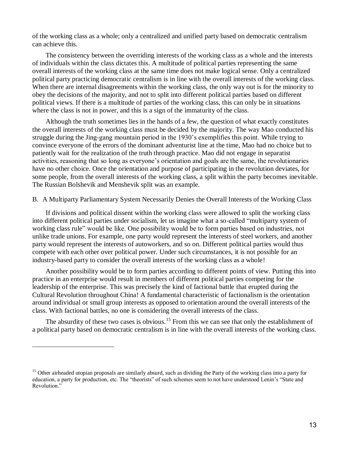of the working class as a whole; only a centralized and unified party based on democratic centralism can achieve this.

The consistency between the overriding interests of the working class as a whole and the interests of individuals within the class dictates this. A multitude of political parties representing the same overall interests of the working class at the same time does not make logical sense. Only a centralized political party practicing democratic centralism is in line with the overall interests of the working class. When there are internal disagreements within the working class, the only way out is for the minority to obey the decisions of the majority, and not to split into different political parties based on different political views. If there is a multitude of parties of the working class, this can only be in situations where the class is not in power, and this is a sign of the immaturity of the class.

Although the truth sometimes lies in the hands of a few, the question of what exactly constitutes the overall interests of the working class must be decided by the majority. The way Mao conducted his struggle during the Jing-gang mountain period in the 1930's exemplifies this point. While trying to convince everyone of the errors of the dominant adventurist line at the time, Mao had no choice but to patiently wait for the realization of the truth through practice. Mao did not engage in separatist activities, reasoning that so long as everyone's orientation and goals are the same, the revolutionaries have no other choice. Once the orientation and purpose of participating in the revolution deviates, for some people, from the overall interests of the working class, a split within the party becomes inevitable. The Russian Bolshevik and Menshevik split was an example.

B. A Multiparty Parliamentary System Necessarily Denies the Overall Interests of the Working Class

If divisions and political dissent within the working class were allowed to split the working class into different political parties under socialism, let us imagine what a so-called "multiparty system of working class rule" would be like. One possibility would be to form parties based on industries, not unlike trade unions. For example, one party would represent the interests of steel workers, and another party would represent the interests of autoworkers, and so on. Different political parties would thus compete with each other over political power. Under such circumstances, it is not possible for an industry-based party to consider the overall interests of the working class as a whole!

Another possibility would be to form parties according to different points of view. Putting this into practice in an enterprise would result in members of different political parties competing for the leadership of the enterprise. This was precisely the kind of factional battle that erupted during the Cultural Revolution throughout China! A fundamental characteristic of factionalism is the orientation around individual or small group interests as opposed to orientation around the overall interests of the class. With factional battles, no one is considering the overall interests of the class.

The absurdity of these two cases is obvious.<sup>15</sup> From this we can see that only the establishment of a political party based on democratic centralism is in line with the overall interests of the working class.

<sup>&</sup>lt;sup>15</sup> Other airheaded utopian proposals are similarly absurd, such as dividing the Party of the working class into a party for education, a party for production, etc. The "theorists" of such schemes seem to not have understood Lenin's "State and Revolution."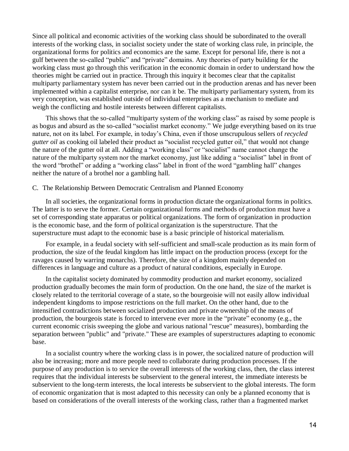Since all political and economic activities of the working class should be subordinated to the overall interests of the working class, in socialist society under the state of working class rule, in principle, the organizational forms for politics and economics are the same. Except for personal life, there is not a gulf between the so-called "public" and "private" domains. Any theories of party building for the working class must go through this verification in the economic domain in order to understand how the theories might be carried out in practice. Through this inquiry it becomes clear that the capitalist multiparty parliamentary system has never been carried out in the production arenas and has never been implemented within a capitalist enterprise, nor can it be. The multiparty parliamentary system, from its very conception, was established outside of individual enterprises as a mechanism to mediate and weigh the conflicting and hostile interests between different capitalists.

This shows that the so-called "multiparty system of the working class" as raised by some people is as bogus and absurd as the so-called "socialist market economy." We judge everything based on its true nature, not on its label. For example, in today's China, even if those unscrupulous sellers of *recycled gutter oil* as cooking oil labeled their product as "socialist recycled gutter oil," that would not change the nature of the gutter oil at all. Adding a "working class" or "socialist" name cannot change the nature of the multiparty system nor the market economy, just like adding a "socialist" label in front of the word "brothel" or adding a "working class" label in front of the word "gambling hall" changes neither the nature of a brothel nor a gambling hall.

#### C. The Relationship Between Democratic Centralism and Planned Economy

In all societies, the organizational forms in production dictate the organizational forms in politics. The latter is to serve the former. Certain organizational forms and methods of production must have a set of corresponding state apparatus or political organizations. The form of organization in production is the economic base, and the form of political organization is the superstructure. That the superstructure must adapt to the economic base is a basic principle of historical materialism.

For example, in a feudal society with self-sufficient and small-scale production as its main form of production, the size of the feudal kingdom has little impact on the production process (except for the ravages caused by warring monarchs). Therefore, the size of a kingdom mainly depended on differences in language and culture as a product of natural conditions, especially in Europe.

In the capitalist society dominated by commodity production and market economy, socialized production gradually becomes the main form of production. On the one hand, the size of the market is closely related to the territorial coverage of a state, so the bourgeoisie will not easily allow individual independent kingdoms to impose restrictions on the full market. On the other hand, due to the intensified contradictions between socialized production and private ownership of the means of production, the bourgeois state is forced to intervene ever more in the "private" economy (e.g., the current economic crisis sweeping the globe and various national "rescue" measures), bombarding the separation between "public" and "private." These are examples of superstructures adapting to economic base.

In a socialist country where the working class is in power, the socialized nature of production will also be increasing; more and more people need to collaborate during production processes. If the purpose of any production is to service the overall interests of the working class, then, the class interest requires that the individual interests be subservient to the general interest, the immediate interests be subservient to the long-term interests, the local interests be subservient to the global interests. The form of economic organization that is most adapted to this necessity can only be a planned economy that is based on considerations of the overall interests of the working class, rather than a fragmented market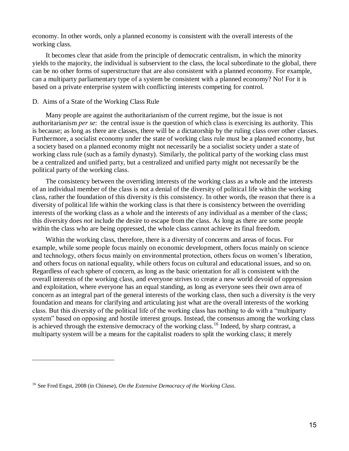economy. In other words, only a planned economy is consistent with the overall interests of the working class.

It becomes clear that aside from the principle of democratic centralism, in which the minority yields to the majority, the individual is subservient to the class, the local subordinate to the global, there can be no other forms of superstructure that are also consistent with a planned economy. For example, can a multiparty parliamentary type of a system be consistent with a planned economy? No! For it is based on a private enterprise system with conflicting interests competing for control.

#### D. Aims of a State of the Working Class Rule

Many people are against the authoritarianism of the current regime, but the issue is not authoritarianism *per se*: the central issue is the question of which class is exercising its authority. This is because; as long as there are classes, there will be a dictatorship by the ruling class over other classes. Furthermore, a socialist economy under the state of working class rule must be a planned economy, but a society based on a planned economy might not necessarily be a socialist society under a state of working class rule (such as a family dynasty). Similarly, the political party of the working class must be a centralized and unified party, but a centralized and unified party might not necessarily be the political party of the working class.

The consistency between the overriding interests of the working class as a whole and the interests of an individual member of the class is not a denial of the diversity of political life within the working class, rather the foundation of this diversity *is* this consistency. In other words, the reason that there is a diversity of political life within the working class is that there is consistency between the overriding interests of the working class as a whole and the interests of any individual as a member of the class; this diversity does *not* include the desire to escape from the class. As long as there are some people within the class who are being oppressed, the whole class cannot achieve its final freedom.

Within the working class, therefore, there is a diversity of concerns and areas of focus. For example, while some people focus mainly on economic development, others focus mainly on science and technology, others focus mainly on environmental protection, others focus on women's liberation, and others focus on national equality, while others focus on cultural and educational issues, and so on. Regardless of each sphere of concern, as long as the basic orientation for all is consistent with the overall interests of the working class, and everyone strives to create a new world devoid of oppression and exploitation, where everyone has an equal standing, as long as everyone sees their own area of concern as an integral part of the general interests of the working class, then such a diversity *is* the very foundation and means for clarifying and articulating just what are the overall interests of the working class. But this diversity of the political life of the working class has nothing to do with a "multiparty system" based on opposing and hostile interest groups. Instead, the consensus among the working class is achieved through the extensive democracy of the working class.<sup>16</sup> Indeed, by sharp contrast, a multiparty system will be a means for the capitalist roaders to split the working class; it merely

l

<sup>16</sup> See Fred Engst, 2008 (in Chinese), *On the Extensive Democracy of the Working Class*.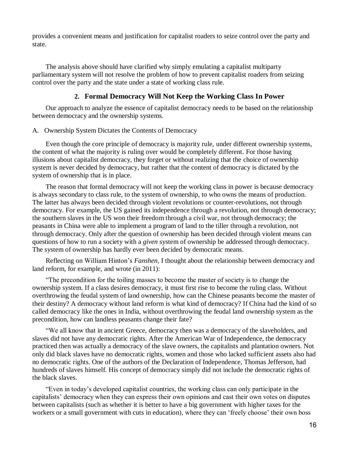provides a convenient means and justification for capitalist roaders to seize control over the party and state.

The analysis above should have clarified why simply emulating a capitalist multiparty parliamentary system will not resolve the problem of how to prevent capitalist roaders from seizing control over the party and the state under a state of working class rule.

## **2. Formal Democracy Will Not Keep the Working Class In Power**

Our approach to analyze the essence of capitalist democracy needs to be based on the relationship between democracy and the ownership systems.

#### A. Ownership System Dictates the Contents of Democracy

Even though the core principle of democracy is majority rule, under different ownership systems, the content of what the majority is ruling over would be completely different. For those having illusions about capitalist democracy, they forget or without realizing that the choice of ownership system is never decided by democracy, but rather that the content of democracy is dictated by the system of ownership that is in place.

The reason that formal democracy will not keep the working class in power is because democracy is always secondary to class rule, to the system of ownership, to who owns the means of production. The latter has always been decided through violent revolutions or counter-revolutions, not through democracy. For example, the US gained its independence through a revolution, not through democracy; the southern slaves in the US won their freedom through a civil war, not through democracy; the peasants in China were able to implement a program of land to the tiller through a revolution, not through democracy. Only after the question of ownership has been decided through violent means can questions of how to run a society with a *given* system of ownership be addressed through democracy. The system of ownership has hardly ever been decided by democratic means.

Reflecting on William Hinton's *Fanshen,* I thought about the relationship between democracy and land reform, for example, and wrote (in 2011):

"The precondition for the toiling masses to become the master of society is to change the ownership system. If a class desires democracy, it must first rise to become the ruling class. Without overthrowing the feudal system of land ownership, how can the Chinese peasants become the master of their destiny? A democracy without land reform is what kind of democracy? If China had the kind of so called democracy like the ones in India, without overthrowing the feudal land ownership system as the precondition, how can landless peasants change their fate?

"We all know that in ancient Greece, democracy then was a democracy of the slaveholders, and slaves did not have any democratic rights. After the American War of Independence, the democracy practiced then was actually a democracy of the slave owners, the capitalists and plantation owners. Not only did black slaves have no democratic rights, women and those who lacked sufficient assets also had no democratic rights. One of the authors of the Declaration of Independence, Thomas Jefferson, had hundreds of slaves himself. His concept of democracy simply did not include the democratic rights of the black slaves.

"Even in today's developed capitalist countries, the working class can only participate in the capitalists' democracy when they can express their own opinions and cast their own votes on disputes between capitalists (such as whether it is better to have a big government with higher taxes for the workers or a small government with cuts in education), where they can 'freely choose' their own boss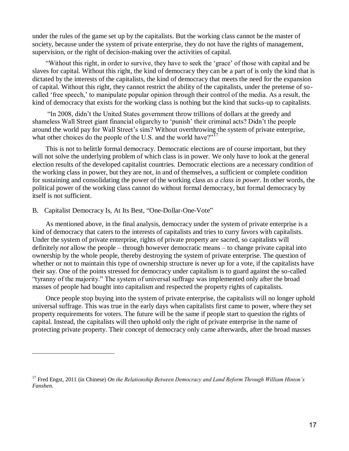under the rules of the game set up by the capitalists. But the working class cannot be the master of society, because under the system of private enterprise, they do not have the rights of management, supervision, or the right of decision-making over the activities of capital.

"Without this right, in order to survive, they have to seek the 'grace' of those with capital and be slaves for capital. Without this right, the kind of democracy they can be a part of is only the kind that is dictated by the interests of the capitalists, the kind of democracy that meets the need for the expansion of capital. Without this right, they cannot restrict the ability of the capitalists, under the pretense of socalled 'free speech,' to manipulate popular opinion through their control of the media. As a result, the kind of democracy that exists for the working class is nothing but the kind that sucks-up to capitalists.

"In 2008, didn't the United States government throw trillions of dollars at the greedy and shameless Wall Street giant financial oligarchy to 'punish' their criminal acts? Didn't the people around the world pay for Wall Street's sins? Without overthrowing the system of private enterprise, what other choices do the people of the U.S. and the world have?"<sup>17</sup>

This is not to belittle formal democracy. Democratic elections are of course important, but they will not solve the underlying problem of which class is in power. We only have to look at the general election results of the developed capitalist countries. Democratic elections are a necessary condition of the working class in power, but they are not, in and of themselves, a sufficient or complete condition for sustaining and consolidating the power of the working class *as a class in power*. In other words, the political power of the working class cannot do without formal democracy, but formal democracy by itself is not sufficient.

#### B. Capitalist Democracy Is, At Its Best, "One-Dollar-One-Vote"

 $\overline{a}$ 

As mentioned above, in the final analysis, democracy under the system of private enterprise is a kind of democracy that caters to the interests of capitalists and tries to curry favors with capitalists. Under the system of private enterprise, rights of private property are sacred, so capitalists will definitely *not* allow the people – through however democratic means – to change private capital into ownership by the whole people, thereby destroying the system of private enterprise. The question of whether or not to maintain this type of ownership structure is never up for a vote, if the capitalists have their say. One of the points stressed for democracy under capitalism is to guard against the so-called "tyranny of the majority." The system of universal suffrage was implemented only after the broad masses of people had bought into capitalism and respected the property rights of capitalists.

Once people stop buying into the system of private enterprise, the capitalists will no longer uphold universal suffrage. This was true in the early days when capitalists first came to power, where they set property requirements for voters. The future will be the same if people start to question the rights of capital. Instead, the capitalists will then uphold only the right of private enterprise in the name of protecting private property. Their concept of democracy only came afterwards, after the broad masses

<sup>17</sup> Fred Engst, 2011 (in Chinese) *On the Relationship Between Democracy and Land Reform Through William Hinton's Fanshen.*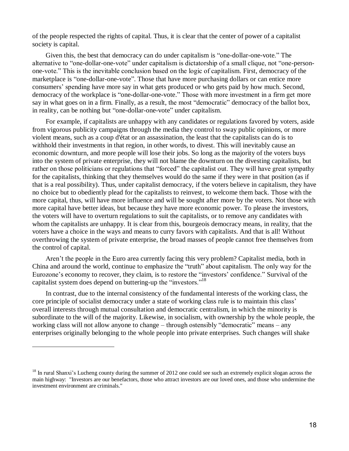of the people respected the rights of capital. Thus, it is clear that the center of power of a capitalist society is capital.

Given this, the best that democracy can do under capitalism is "one-dollar-one-vote." The alternative to "one-dollar-one-vote" under capitalism is dictatorship of a small clique, not "one-personone-vote." This is the inevitable conclusion based on the logic of capitalism. First, democracy of the marketplace is "one-dollar-one-vote". Those that have more purchasing dollars or can entice more consumers' spending have more say in what gets produced or who gets paid by how much. Second, democracy of the workplace is "one-dollar-one-vote." Those with more investment in a firm get more say in what goes on in a firm. Finally, as a result, the most "democratic" democracy of the ballot box, in reality, can be nothing but "one-dollar-one-vote" under capitalism.

For example, if capitalists are unhappy with any candidates or regulations favored by voters, aside from vigorous publicity campaigns through the media they control to sway public opinions, or more violent means, such as a coup d'état or an assassination, the least that the capitalists can do is to withhold their investments in that region, in other words, to divest. This will inevitably cause an economic downturn, and more people will lose their jobs. So long as the majority of the voters buys into the system of private enterprise, they will not blame the downturn on the divesting capitalists, but rather on those politicians or regulations that "forced" the capitalist out. They will have great sympathy for the capitalists, thinking that they themselves would do the same if they were in that position (as if that is a real possibility). Thus, under capitalist democracy, if the voters believe in capitalism, they have no choice but to obediently plead for the capitalists to reinvest, to welcome them back. Those with the more capital, thus, will have more influence and will be sought after more by the voters. Not those with more capital have better ideas, but because they have more economic power. To please the investors, the voters will have to overturn regulations to suit the capitalists, or to remove any candidates with whom the capitalists are unhappy. It is clear from this, bourgeois democracy means, in reality, that the voters have a choice in the ways and means to curry favors with capitalists. And that is all! Without overthrowing the system of private enterprise, the broad masses of people cannot free themselves from the control of capital.

Aren't the people in the Euro area currently facing this very problem? Capitalist media, both in China and around the world, continue to emphasize the "truth" about capitalism. The only way for the Eurozone's economy to recover, they claim, is to restore the "investors' confidence." Survival of the capitalist system does depend on buttering-up the "investors."<sup>18</sup>

In contrast, due to the internal consistency of the fundamental interests of the working class, the core principle of socialist democracy under a state of working class rule is to maintain this class' overall interests through mutual consultation and democratic centralism, in which the minority is subordinate to the will of the majority. Likewise, in socialism, with ownership by the whole people, the working class will not allow anyone to change – through ostensibly "democratic" means – any enterprises originally belonging to the whole people into private enterprises. Such changes will shake

<sup>&</sup>lt;sup>18</sup> In rural Shanxi's Lucheng county during the summer of 2012 one could see such an extremely explicit slogan across the main highway: "Investors are our benefactors, those who attract investors are our loved ones, and those who undermine the investment environment are criminals."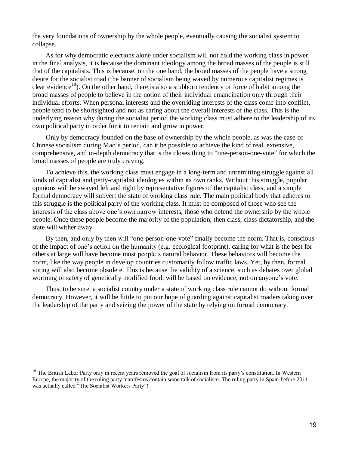the very foundations of ownership by the whole people, eventually causing the socialist system to collapse.

As for why democratic elections alone under socialism will not hold the working class in power, in the final analysis, it is because the dominant ideology among the broad masses of the people is still that of the capitalists. This is because, on the one hand, the broad masses of the people have a strong desire for the socialist road (the banner of socialism being waved by numerous capitalist regimes is clear evidence<sup>19</sup>). On the other hand, there is also a stubborn tendency or force of habit among the broad masses of people to believe in the notion of their individual emancipation only through their individual efforts. When personal interests and the overriding interests of the class come into conflict, people tend to be shortsighted and not as caring about the overall interests of the class. This is the underlying reason why during the socialist period the working class must adhere to the leadership of its own political party in order for it to remain and grow in power.

Only by democracy founded on the base of ownership by the whole people, as was the case of Chinese socialism during Mao's period, can it be possible to achieve the kind of real, extensive, comprehensive, and in-depth democracy that is the closes thing to "one-person-one-vote" for which the broad masses of people are truly craving.

To achieve this, the working class must engage in a long-term and unremitting struggle against all kinds of capitalist and petty-capitalist ideologies within its own ranks. Without this struggle, popular opinions will be swayed left and right by representative figures of the capitalist class, and a simple formal democracy will subvert the state of working class rule. The main political body that adheres to this struggle is the political party of the working class. It must be composed of those who see the interests of the class above one's own narrow interests, those who defend the ownership by the whole people. Once these people become the majority of the population, then class, class dictatorship, and the state will wither away.

By then, and only by then will "one-person-one-vote" finally become the norm. That is, conscious of the impact of one's action on the humanity (e.g. ecological footprint), caring for what is the best for others at large will have become most people's natural behavior. These behaviors will become the norm, like the way people in develop countries customarily follow traffic laws. Yet, by then, formal voting will also become obsolete. This is because the validity of a science, such as debates over global worming or safety of genetically modified food, will be based on evidence, not on anyone's vote.

Thus, to be sure, a socialist country under a state of working class rule cannot do without formal democracy. However, it will be futile to pin our hope of guarding against capitalist roaders taking over the leadership of the party and seizing the power of the state by relying on formal democracy.

 $<sup>19</sup>$  The British Labor Party only in recent years removed the goal of socialism from its party's constitution. In Western</sup> Europe, the majority of the ruling party manifestos contain some talk of socialism. The ruling party in Spain before 2011 was actually called "The Socialist Workers Party"!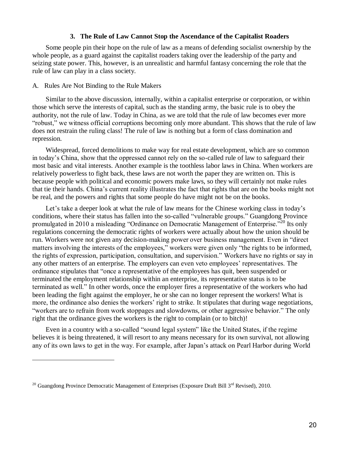#### **3. The Rule of Law Cannot Stop the Ascendance of the Capitalist Roaders**

Some people pin their hope on the rule of law as a means of defending socialist ownership by the whole people, as a guard against the capitalist roaders taking over the leadership of the party and seizing state power. This, however, is an unrealistic and harmful fantasy concerning the role that the rule of law can play in a class society.

#### A. Rules Are Not Binding to the Rule Makers

l

Similar to the above discussion, internally, within a capitalist enterprise or corporation, or within those which serve the interests of capital, such as the standing army, the basic rule is to obey the authority, not the rule of law. Today in China, as we are told that the rule of law becomes ever more "robust," we witness official corruptions becoming only more abundant. This shows that the rule of law does not restrain the ruling class! The rule of law is nothing but a form of class domination and repression.

Widespread, forced demolitions to make way for real estate development, which are so common in today's China, show that the oppressed cannot rely on the so-called rule of law to safeguard their most basic and vital interests. Another example is the toothless labor laws in China. When workers are relatively powerless to fight back, these laws are not worth the paper they are written on. This is because people with political and economic powers make laws, so they will certainly not make rules that tie their hands. China's current reality illustrates the fact that rights that are on the books might not be real, and the powers and rights that some people do have might not be on the books.

Let's take a deeper look at what the rule of law means for the Chinese working class in today's conditions, where their status has fallen into the so-called "vulnerable groups." Guangdong Province promulgated in 2010 a misleading "Ordinance on Democratic Management of Enterprise."<sup>20</sup> Its only regulations concerning the democratic rights of workers were actually about how the union should be run. Workers were not given any decision-making power over business management. Even in "direct matters involving the interests of the employees," workers were given only "the rights to be informed, the rights of expression, participation, consultation, and supervision." Workers have no rights or say in any other matters of an enterprise. The employers can even veto employees' representatives. The ordinance stipulates that "once a representative of the employees has quit, been suspended or terminated the employment relationship within an enterprise, its representative status is to be terminated as well." In other words, once the employer fires a representative of the workers who had been leading the fight against the employer, he or she can no longer represent the workers! What is more, the ordinance also denies the workers' right to strike. It stipulates that during wage negotiations, "workers are to refrain from work stoppages and slowdowns, or other aggressive behavior." The only right that the ordinance gives the workers is the right to complain (or to bitch)!

Even in a country with a so-called "sound legal system" like the United States, if the regime believes it is being threatened, it will resort to any means necessary for its own survival, not allowing any of its own laws to get in the way. For example, after Japan's attack on Pearl Harbor during World

<sup>&</sup>lt;sup>20</sup> Guangdong Province Democratic Management of Enterprises (Exposure Draft Bill  $3<sup>rd</sup>$  Revised), 2010.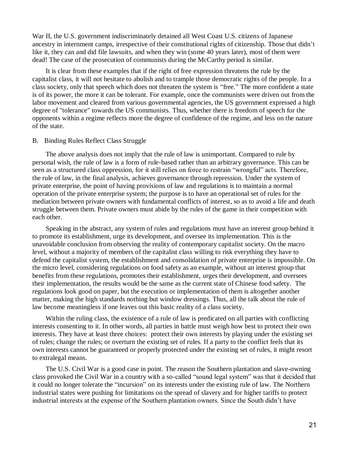War II, the U.S. government indiscriminately detained all West Coast U.S. citizens of Japanese ancestry in internment camps, irrespective of their constitutional rights of citizenship. Those that didn't like it, they can and did file lawsuits, and when they win (some 40 years later), most of them were dead! The case of the prosecution of communists during the McCarthy period is similar.

It is clear from these examples that if the right of free expression threatens the rule by the capitalist class, it will not hesitate to abolish and to trample those democratic rights of the people. In a class society, only that speech which does not threaten the system is "free." The more confident a state is of its power, the more it can be tolerant. For example, once the communists were driven out from the labor movement and cleared from various governmental agencies, the US government expressed a high degree of "tolerance" towards the US communists. Thus, whether there is freedom of speech for the opponents within a regime reflects more the degree of confidence of the regime, and less on the nature of the state.

#### B. Binding Rules Reflect Class Struggle

The above analysis does not imply that the rule of law is unimportant. Compared to rule by personal wish, the rule of law is a form of rule-based rather than an arbitrary governance. This can be seen as a structured class oppression, for it still relies on force to restrain "wrongful" acts. Therefore, the rule of law, in the final analysis, achieves governance through repression. Under the system of private enterprise, the point of having provisions of law and regulations is to maintain a normal operation of the private enterprise system; the purpose is to have an operational set of rules for the mediation between private owners with fundamental conflicts of interest, so as to avoid a life and death struggle between them. Private owners must abide by the rules of the game in their competition with each other.

Speaking in the abstract, any system of rules and regulations must have an interest group behind it to promote its establishment, urge its development, and oversee its implementation. This is the unavoidable conclusion from observing the reality of contemporary capitalist society. On the macro level, without a majority of members of the capitalist class willing to risk everything they have to defend the capitalist system, the establishment and consolidation of private enterprise is impossible. On the micro level, considering regulations on food safety as an example, without an interest group that benefits from these regulations, promotes their establishment, urges their development, and oversees their implementation, the results would be the same as the current state of Chinese food safety. The regulations look good on paper, but the execution or implementation of them is altogether another matter, making the high standards nothing but window dressings. Thus, all the talk about the rule of law become meaningless if one leaves out this basic reality of a class society.

Within the ruling class, the existence of a rule of law is predicated on all parties with conflicting interests consenting to it. In other words, all parties in battle must weigh how best to protect their own interests. They have at least three choices: protect their own interests by playing under the existing set of rules; change the rules; or overturn the existing set of rules. If a party to the conflict feels that its own interests cannot be guaranteed or properly protected under the existing set of rules, it might resort to extralegal means.

The U.S. Civil War is a good case in point. The reason the Southern plantation and slave-owning class provoked the Civil War in a country with a so-called "sound legal system" was that it decided that it could no longer tolerate the "incursion" on its interests under the existing rule of law. The Northern industrial states were pushing for limitations on the spread of slavery and for higher tariffs to protect industrial interests at the expense of the Southern plantation owners. Since the South didn't have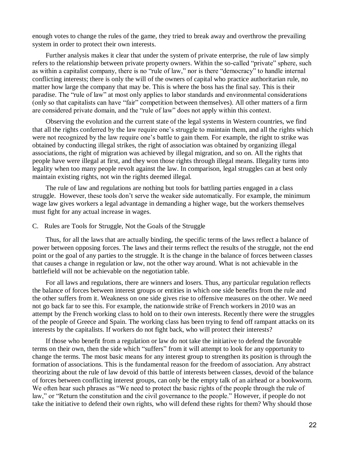enough votes to change the rules of the game, they tried to break away and overthrow the prevailing system in order to protect their own interests.

Further analysis makes it clear that under the system of private enterprise, the rule of law simply refers to the relationship between private property owners. Within the so-called "private" sphere, such as within a capitalist company, there is no "rule of law," nor is there "democracy" to handle internal conflicting interests; there is only the will of the owners of capital who practice authoritarian rule, no matter how large the company that may be. This is where the boss has the final say. This is their paradise. The "rule of law" at most only applies to labor standards and environmental considerations (only so that capitalists can have "fair" competition between themselves). All other matters of a firm are considered private domain, and the "rule of law" does not apply within this context.

Observing the evolution and the current state of the legal systems in Western countries, we find that all the rights conferred by the law require one's struggle to maintain them, and all the rights which were not recognized by the law require one's battle to gain them. For example, the right to strike was obtained by conducting illegal strikes, the right of association was obtained by organizing illegal associations, the right of migration was achieved by illegal migration, and so on. All the rights that people have were illegal at first, and they won those rights through illegal means. Illegality turns into legality when too many people revolt against the law. In comparison, legal struggles can at best only maintain existing rights, not win the rights deemed illegal.

The rule of law and regulations are nothing but tools for battling parties engaged in a class struggle. However, these tools don't serve the weaker side automatically. For example, the minimum wage law gives workers a legal advantage in demanding a higher wage, but the workers themselves must fight for any actual increase in wages.

#### C. Rules are Tools for Struggle, Not the Goals of the Struggle

Thus, for all the laws that are actually binding, the specific terms of the laws reflect a balance of power between opposing forces. The laws and their terms reflect the results of the struggle, not the end point or the goal of any parties to the struggle. It is the change in the balance of forces between classes that causes a change in regulation or law, not the other way around. What is not achievable in the battlefield will not be achievable on the negotiation table.

For all laws and regulations, there are winners and losers. Thus, any particular regulation reflects the balance of forces between interest groups or entities in which one side benefits from the rule and the other suffers from it. Weakness on one side gives rise to offensive measures on the other. We need not go back far to see this. For example, the nationwide strike of French workers in 2010 was an attempt by the French working class to hold on to their own interests. Recently there were the struggles of the people of Greece and Spain. The working class has been trying to fend off rampant attacks on its interests by the capitalists. If workers do not fight back, who will protect their interests?

If those who benefit from a regulation or law do not take the initiative to defend the favorable terms on their own, then the side which "suffers" from it will attempt to look for any opportunity to change the terms. The most basic means for any interest group to strengthen its position is through the formation of associations. This is the fundamental reason for the freedom of association. Any abstract theorizing about the rule of law devoid of this battle of interests between classes, devoid of the balance of forces between conflicting interest groups, can only be the empty talk of an airhead or a bookworm. We often hear such phrases as "We need to protect the basic rights of the people through the rule of law," or "Return the constitution and the civil governance to the people." However, if people do not take the initiative to defend their own rights, who will defend these rights for them? Why should those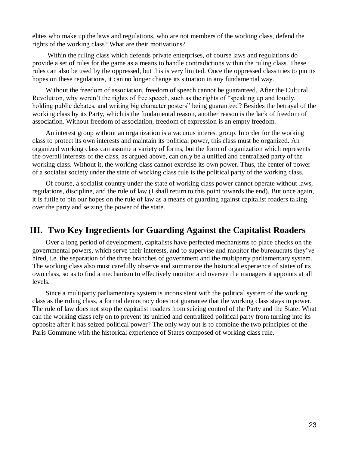elites who make up the laws and regulations, who are not members of the working class, defend the rights of the working class? What are their motivations?

Within the ruling class which defends private enterprises, of course laws and regulations do provide a set of rules for the game as a means to handle contradictions within the ruling class. These rules can also be used by the oppressed, but this is very limited. Once the oppressed class tries to pin its hopes on these regulations, it can no longer change its situation in any fundamental way.

Without the freedom of association, freedom of speech cannot be guaranteed. After the Cultural Revolution, why weren't the rights of free speech, such as the rights of "speaking up and loudly, holding public debates, and writing big character posters" being guaranteed? Besides the betrayal of the working class by its Party, which is the fundamental reason, another reason is the lack of freedom of association. Without freedom of association, freedom of expression is an empty freedom.

An interest group without an organization is a vacuous interest group. In order for the working class to protect its own interests and maintain its political power, this class must be organized. An organized working class can assume a variety of forms, but the form of organization which represents the overall interests of the class, as argued above, can only be a unified and centralized party of the working class. Without it, the working class cannot exercise its own power. Thus, the center of power of a socialist society under the state of working class rule is the political party of the working class.

Of course, a socialist country under the state of working class power cannot operate without laws, regulations, discipline, and the rule of law (I shall return to this point towards the end). But once again, it is futile to pin our hopes on the rule of law as a means of guarding against capitalist roaders taking over the party and seizing the power of the state.

# **III. Two Key Ingredients for Guarding Against the Capitalist Roaders**

Over a long period of development, capitalists have perfected mechanisms to place checks on the governmental powers, which serve their interests, and to supervise and monitor the bureaucrats they've hired, i.e. the separation of the three branches of government and the multiparty parliamentary system. The working class also must carefully observe and summarize the historical experience of states of its own class, so as to find a mechanism to effectively monitor and oversee the managers it appoints at all levels.

Since a multiparty parliamentary system is inconsistent with the political system of the working class as the ruling class, a formal democracy does not guarantee that the working class stays in power. The rule of law does not stop the capitalist roaders from seizing control of the Party and the State. What can the working class rely on to prevent its unified and centralized political party from turning into its opposite after it has seized political power? The only way out is to combine the two principles of the Paris Commune with the historical experience of States composed of working class rule.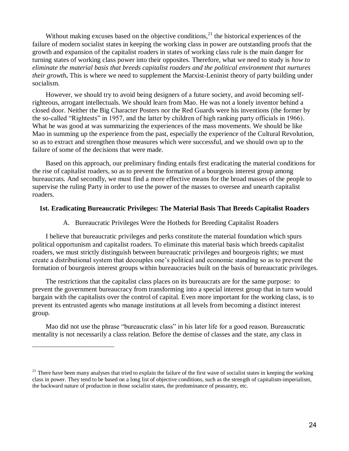Without making excuses based on the objective conditions,  $2<sup>1</sup>$  the historical experiences of the failure of modern socialist states in keeping the working class in power are outstanding proofs that the growth and expansion of the capitalist roaders in states of working class rule is the main danger for turning states of working class power into their opposites. Therefore, what we need to study is *how to eliminate the material basis that breeds capitalist roaders and the political environment that nurtures their growth***.** This is where we need to supplement the Marxist-Leninist theory of party building under socialism.

However, we should try to avoid being designers of a future society, and avoid becoming selfrighteous, arrogant intellectuals. We should learn from Mao. He was not a lonely inventor behind a closed door. Neither the Big Character Posters nor the Red Guards were his inventions (the former by the so-called "Rightests" in 1957, and the latter by children of high ranking party officials in 1966). What he was good at was summarizing the experiences of the mass movements. We should be like Mao in summing up the experience from the past, especially the experience of the Cultural Revolution, so as to extract and strengthen those measures which were successful, and we should own up to the failure of some of the decisions that were made.

Based on this approach, our preliminary finding entails first eradicating the material conditions for the rise of capitalist roaders, so as to prevent the formation of a bourgeois interest group among bureaucrats. And secondly, we must find a more effective means for the broad masses of the people to supervise the ruling Party in order to use the power of the masses to oversee and unearth capitalist roaders.

#### **1st. Eradicating Bureaucratic Privileges: The Material Basis That Breeds Capitalist Roaders**

#### A. Bureaucratic Privileges Were the Hotbeds for Breeding Capitalist Roaders

I believe that bureaucratic privileges and perks constitute the material foundation which spurs political opportunism and capitalist roaders. To eliminate this material basis which breeds capitalist roaders, we must strictly distinguish between bureaucratic privileges and bourgeois rights; we must create a distributional system that decouples one's political and economic standing so as to prevent the formation of bourgeois interest groups within bureaucracies built on the basis of bureaucratic privileges.

The restrictions that the capitalist class places on its bureaucrats are for the same purpose: to prevent the government bureaucracy from transforming into a special interest group that in turn would bargain with the capitalists over the control of capital. Even more important for the working class, is to prevent its entrusted agents who manage institutions at all levels from becoming a distinct interest group.

Mao did not use the phrase "bureaucratic class" in his later life for a good reason. Bureaucratic mentality is not necessarily a class relation. Before the demise of classes and the state, any class in

 $2<sup>1</sup>$  There have been many analyses that tried to explain the failure of the first wave of socialist states in keeping the working class in power. They tend to be based on a long list of objective conditions, such as the strength of capitalism-imperialism, the backward nature of production in those socialist states, the predominance of peasantry, etc.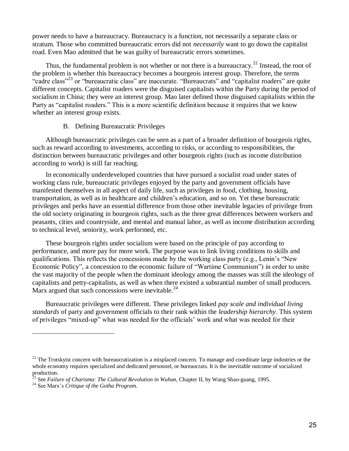power needs to have a bureaucracy. Bureaucracy is a function, not necessarily a separate class or stratum. Those who committed bureaucratic errors did not *necessarily* want to go down the capitalist road. Even Mao admitted that he was guilty of bureaucratic errors sometimes.

Thus, the fundamental problem is not whether or not there is a bureaucracy.<sup>22</sup> Instead, the root of the problem is whether this bureaucracy becomes a bourgeois interest group. Therefore, the terms "cadre class"<sup>23</sup> or "bureaucratic class" are inaccurate. "Bureaucrats" and "capitalist roaders" are quite different concepts. Capitalist roaders were the disguised capitalists within the Party during the period of socialism in China; they were an interest group. Mao later defined those disguised capitalists within the Party as "capitalist roaders." This is a more scientific definition because it requires that we know whether an interest group exists.

#### B. Defining Bureaucratic Privileges

Although bureaucratic privileges can be seen as a part of a broader definition of bourgeois rights, such as reward according to investments, according to risks, or according to responsibilities, the distinction between bureaucratic privileges and other bourgeois rights (such as income distribution according to work) is still far reaching.

In economically underdeveloped countries that have pursued a socialist road under states of working class rule, bureaucratic privileges enjoyed by the party and government officials have manifested themselves in all aspect of daily life, such as privileges in food, clothing, housing, transportation, as well as in healthcare and children's education, and so on. Yet these bureaucratic privileges and perks have an essential difference from those other inevitable legacies of privilege from the old society originating in bourgeois rights, such as the three great differences between workers and peasants, cities and countryside, and mental and manual labor, as well as income distribution according to technical level, seniority, work performed, etc.

These bourgeois rights under socialism were based on the principle of pay according to performance, and more pay for more work. The purpose was to link living conditions to skills and qualifications. This reflects the concessions made by the working class party (e.g., Lenin's "New Economic Policy", a concession to the economic failure of "Wartime Communism") in order to unite the vast majority of the people when the dominant ideology among the masses was still the ideology of capitalists and petty-capitalists, as well as when there existed a substantial number of small producers. Marx argued that such concessions were inevitable. $^{24}$ 

Bureaucratic privileges were different. These privileges linked *pay scale and individual living standards* of party and government officials to their rank within the *leadership hierarchy*. This system of privileges "mixed-up" what was needed for the officials' work and what was needed for their

l

 $22$  The Trotskyist concern with bureaucratization is a misplaced concern. To manage and coordinate large industries or the whole economy requires specialized and dedicated personnel, or bureaucrats. It is the inevitable outcome of socialized production.

<sup>23</sup> See *Failure of Charisma: The Cultural Revolution in Wuhan*, Chapter II, by Wang Shao-guang, 1995.

<sup>24</sup> See Marx's *Critique of the Gotha Program*.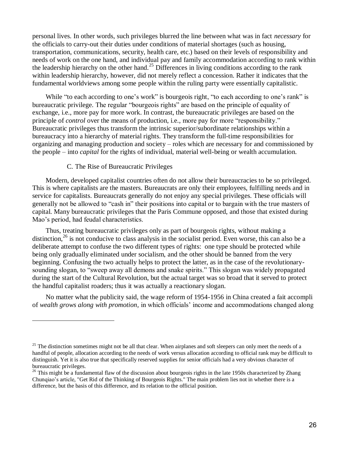personal lives. In other words, such privileges blurred the line between what was in fact *necessary* for the officials to carry-out their duties under conditions of material shortages (such as housing, transportation, communications, security, health care, etc.) based on their levels of responsibility and needs of work on the one hand, and individual pay and family accommodation according to rank within the leadership hierarchy on the other hand.<sup>25</sup> Differences in living conditions according to the rank within leadership hierarchy, however, did not merely reflect a concession. Rather it indicates that the fundamental worldviews among some people within the ruling party were essentially capitalistic.

While "to each according to one's work" is bourgeois right, "to each according to one's rank" is bureaucratic privilege. The regular "bourgeois rights" are based on the principle of equality of exchange, i.e., more pay for more work. In contrast, the bureaucratic privileges are based on the principle of *control* over the means of production, i.e., more pay for more "responsibility." Bureaucratic privileges thus transform the intrinsic superior/subordinate relationships within a bureaucracy into a hierarchy of material rights. They transform the full-time responsibilities for organizing and managing production and society – roles which are necessary for and commissioned by the people – into *capital* for the rights of individual, material well-being or wealth accumulation.

#### C. The Rise of Bureaucratic Privileges

 $\overline{a}$ 

Modern, developed capitalist countries often do not allow their bureaucracies to be so privileged. This is where capitalists are the masters. Bureaucrats are only their employees, fulfilling needs and in service for capitalists. Bureaucrats generally do not enjoy any special privileges. These officials will generally not be allowed to "cash in" their positions into capital or to bargain with the true masters of capital. Many bureaucratic privileges that the Paris Commune opposed, and those that existed during Mao's period, had feudal characteristics.

Thus, treating bureaucratic privileges only as part of bourgeois rights, without making a distinction,<sup>26</sup> is not conducive to class analysis in the socialist period. Even worse, this can also be a deliberate attempt to confuse the two different types of rights: one type should be protected while being only gradually eliminated under socialism, and the other should be banned from the very beginning. Confusing the two actually helps to protect the latter, as in the case of the revolutionarysounding slogan, to "sweep away all demons and snake spirits." This slogan was widely propagated during the start of the Cultural Revolution, but the actual target was so broad that it served to protect the handful capitalist roaders; thus it was actually a reactionary slogan.

No matter what the publicity said, the wage reform of 1954-1956 in China created a fait accompli of *wealth grows along with promotion,* in which officials' income and accommodations changed along

<sup>&</sup>lt;sup>25</sup> The distinction sometimes might not be all that clear. When airplanes and soft sleepers can only meet the needs of a handful of people, allocation according to the needs of work versus allocation according to official rank may be difficult to distinguish. Yet it is also true that specifically reserved supplies for senior officials had a very obvious character of bureaucratic privileges.

<sup>&</sup>lt;sup>26</sup> This might be a fundamental flaw of the discussion about bourgeois rights in the late 1950s characterized by Zhang Chunqiao's article, "Get Rid of the Thinking of Bourgeois Rights." The main problem lies not in whether there is a difference, but the basis of this difference, and its relation to the official position.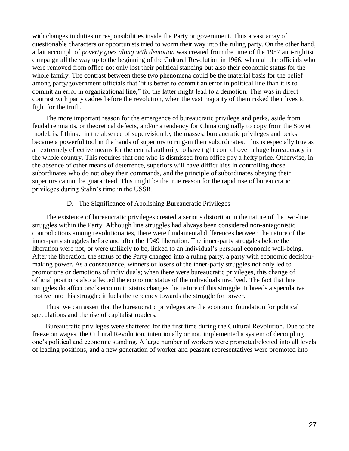with changes in duties or responsibilities inside the Party or government. Thus a vast array of questionable characters or opportunists tried to worm their way into the ruling party. On the other hand, a fait accompli of *poverty goes along with demotion* was created from the time of the 1957 anti-rightist campaign all the way up to the beginning of the Cultural Revolution in 1966, when all the officials who were removed from office not only lost their political standing but also their economic status for the whole family. The contrast between these two phenomena could be the material basis for the belief among party/government officials that "it is better to commit an error in political line than it is to commit an error in organizational line," for the latter might lead to a demotion. This was in direct contrast with party cadres before the revolution, when the vast majority of them risked their lives to fight for the truth.

The more important reason for the emergence of bureaucratic privilege and perks, aside from feudal remnants, or theoretical defects, and/or a tendency for China originally to copy from the Soviet model, is, I think: in the absence of supervision by the masses, bureaucratic privileges and perks became a powerful tool in the hands of superiors to ring-in their subordinates. This is especially true as an extremely effective means for the central authority to have tight control over a huge bureaucracy in the whole country. This requires that one who is dismissed from office pay a hefty price. Otherwise, in the absence of other means of deterrence, superiors will have difficulties in controlling those subordinates who do not obey their commands, and the principle of subordinates obeying their superiors cannot be guaranteed. This might be the true reason for the rapid rise of bureaucratic privileges during Stalin's time in the USSR.

#### D. The Significance of Abolishing Bureaucratic Privileges

The existence of bureaucratic privileges created a serious distortion in the nature of the two-line struggles within the Party. Although line struggles had always been considered non-antagonistic contradictions among revolutionaries, there were fundamental differences between the nature of the inner-party struggles before and after the 1949 liberation. The inner-party struggles before the liberation were not, or were unlikely to be, linked to an individual's personal economic well-being. After the liberation, the status of the Party changed into a ruling party, a party with economic decisionmaking power. As a consequence, winners or losers of the inner-party struggles not only led to promotions or demotions of individuals; when there were bureaucratic privileges, this change of official positions also affected the economic status of the individuals involved. The fact that line struggles do affect one's economic status changes the nature of this struggle. It breeds a speculative motive into this struggle; it fuels the tendency towards the struggle for power.

Thus, we can assert that the bureaucratic privileges are the economic foundation for political speculations and the rise of capitalist roaders.

Bureaucratic privileges were shattered for the first time during the Cultural Revolution. Due to the freeze on wages, the Cultural Revolution, intentionally or not, implemented a system of decoupling one's political and economic standing. A large number of workers were promoted/elected into all levels of leading positions, and a new generation of worker and peasant representatives were promoted into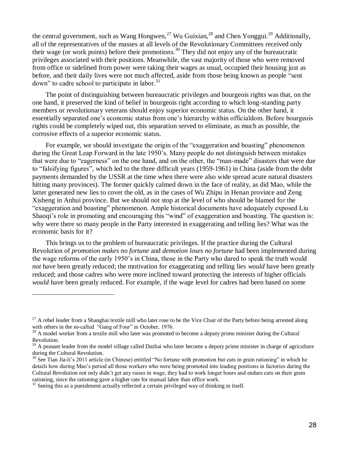the central government, such as Wang Hongwen,<sup>27</sup> Wu Guixian,<sup>28</sup> and Chen Yonggui.<sup>29</sup> Additionally, all of the representatives of the masses at all levels of the Revolutionary Committees received only their wage (or work points) before their promotions. <sup>30</sup> They did not enjoy any of the bureaucratic privileges associated with their positions. Meanwhile, the vast majority of those who were removed from office or sidelined from power were taking their wages as usual, occupied their housing just as before, and their daily lives were not much affected, aside from those being known as people "sent down" to cadre school to participate in labor.<sup>31</sup>

The point of distinguishing between bureaucratic privileges and bourgeois rights was that, on the one hand, it preserved the kind of belief in bourgeois right according to which long-standing party members or revolutionary veterans should enjoy superior economic status. On the other hand, it essentially separated one's economic status from one's hierarchy within officialdom. Before bourgeois rights could be completely wiped out, this separation served to eliminate, as much as possible, the corrosive effects of a superior economic status.

For example, we should investigate the origin of the "exaggeration and boasting" phenomenon during the Great Leap Forward in the late 1950's. Many people do not distinguish between mistakes that were due to "eagerness" on the one hand, and on the other, the "man-made" disasters that were due to "falsifying figures", which led to the three difficult years (1959-1961) in China (aside from the debt payments demanded by the USSR at the time when there were also wide spread acute natural disasters hitting many provinces). The former quickly calmed down in the face of reality, as did Mao, while the latter generated new lies to cover the old, as in the cases of Wu Zhipu in Henan province and Zeng Xisheng in Anhui province. But we should not stop at the level of who should be blamed for the "exaggeration and boasting" phenomenon. Ample historical documents have adequately exposed Liu Shaoqi's role in promoting and encouraging this "wind" of exaggeration and boasting. The question is: why were there so many people in the Party interested in exaggerating and telling lies? What was the economic basis for it?

This brings us to the problem of bureaucratic privileges. If the practice during the Cultural Revolution of *promotion makes no fortune* and *demotion loses no fortune* had been implemented during the wage reforms of the early 1950's in China, those in the Party who dared to speak the truth would *not* have been greatly reduced; the motivation for exaggerating and telling lies *would* have been greatly reduced; and those cadres who were more inclined toward protecting the interests of higher officials *would* have been greatly reduced. For example, if the wage level for cadres had been based on some

 $27$  A rebel leader from a Shanghai textile mill who later rose to be the Vice Chair of the Party before being arrested along with others in the so-called "Gang of Four" in October, 1976.

 $2<sup>28</sup>$  A model worker from a textile mill who later was promoted to become a deputy prime minister during the Cultural Revolution.

 $^{29}$  A peasant leader from the model village called Dazhai who later become a deputy prime minister in charge of agriculture during the Cultural Revolution.

 $30$  See Tian Jia-li's 2011 article (in Chinese) entitled "No fortune with promotion but cuts in grain rationing" in which he details how during Mao's period all those workers who were being promoted into leading positions in factories during the Cultural Revolution not only didn't get any raises in wage, they had to work longer hours and endure cuts on their grain rationing, since the rationing gave a higher rate for manual labor than office work.

<sup>&</sup>lt;sup>31</sup> Seeing this as a punishment actually reflected a certain privileged way of thinking in itself.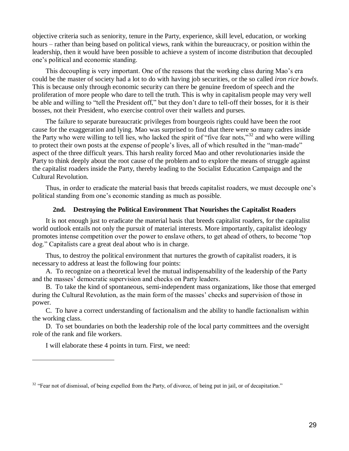objective criteria such as seniority, tenure in the Party, experience, skill level, education, or working hours – rather than being based on political views, rank within the bureaucracy, or position within the leadership, then it would have been possible to achieve a system of income distribution that decoupled one's political and economic standing.

This decoupling is very important. One of the reasons that the working class during Mao's era could be the master of society had a lot to do with having job securities, or the so called *iron rice bowls*. This is because only through economic security can there be genuine freedom of speech and the proliferation of more people who dare to tell the truth. This is why in capitalism people may very well be able and willing to "tell the President off," but they don't dare to tell-off their bosses, for it is their bosses, not their President, who exercise control over their wallets and purses.

The failure to separate bureaucratic privileges from bourgeois rights could have been the root cause for the exaggeration and lying. Mao was surprised to find that there were so many cadres inside the Party who were willing to tell lies, who lacked the spirit of "five fear nots,"<sup>32</sup> and who were willing to protect their own posts at the expense of people's lives, all of which resulted in the "man-made" aspect of the three difficult years. This harsh reality forced Mao and other revolutionaries inside the Party to think deeply about the root cause of the problem and to explore the means of struggle against the capitalist roaders inside the Party, thereby leading to the Socialist Education Campaign and the Cultural Revolution.

Thus, in order to eradicate the material basis that breeds capitalist roaders, we must decouple one's political standing from one's economic standing as much as possible.

#### **2nd. Destroying the Political Environment That Nourishes the Capitalist Roaders**

It is not enough just to eradicate the material basis that breeds capitalist roaders, for the capitalist world outlook entails not only the pursuit of material interests. More importantly, capitalist ideology promotes intense competition over the power to enslave others, to get ahead of others, to become "top dog." Capitalists care a great deal about who is in charge.

Thus, to destroy the political environment that nurtures the growth of capitalist roaders, it is necessary to address at least the following four points:

A. To recognize on a theoretical level the mutual indispensability of the leadership of the Party and the masses' democratic supervision and checks on Party leaders.

B. To take the kind of spontaneous, semi-independent mass organizations, like those that emerged during the Cultural Revolution, as the main form of the masses' checks and supervision of those in power.

C. To have a correct understanding of factionalism and the ability to handle factionalism within the working class.

D. To set boundaries on both the leadership role of the local party committees and the oversight role of the rank and file workers.

I will elaborate these 4 points in turn. First, we need:

l

 $32$  "Fear not of dismissal, of being expelled from the Party, of divorce, of being put in jail, or of decapitation."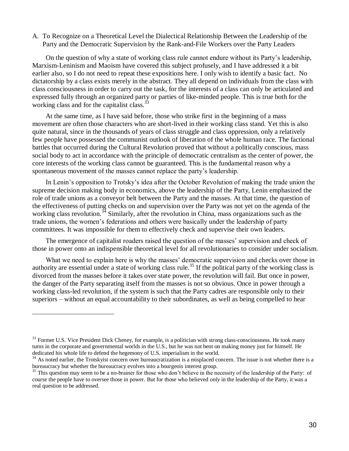A. To Recognize on a Theoretical Level the Dialectical Relationship Between the Leadership of the Party and the Democratic Supervision by the Rank-and-File Workers over the Party Leaders

On the question of why a state of working class rule cannot endure without its Party's leadership, Marxism-Leninism and Maoism have covered this subject profusely, and I have addressed it a bit earlier also, so I do not need to repeat these expositions here. I only wish to identify a basic fact. No dictatorship by a class exists merely in the abstract. They all depend on individuals from the class with class consciousness in order to carry out the task, for the interests of a class can only be articulated and expressed fully through an organized party or parties of like-minded people. This is true both for the working class and for the capitalist class.<sup>33</sup>

At the same time, as I have said before, those who strike first in the beginning of a mass movement are often those characters who are short-lived in their working class stand. Yet this is also quite natural, since in the thousands of years of class struggle and class oppression, only a relatively few people have possessed the communist outlook of liberation of the whole human race. The factional battles that occurred during the Cultural Revolution proved that without a politically conscious, mass social body to act in accordance with the principle of democratic centralism as the center of power, the core interests of the working class cannot be guaranteed. This is the fundamental reason why a spontaneous movement of the masses cannot replace the party's leadership.

In Lenin's opposition to Trotsky's idea after the October Revolution of making the trade union the supreme decision making body in economics, above the leadership of the Party, Lenin emphasized the role of trade unions as a conveyor belt between the Party and the masses. At that time, the question of the effectiveness of putting checks on and supervision over the Party was not yet on the agenda of the working class revolution.<sup>34</sup> Similarly, after the revolution in China, mass organizations such as the trade unions, the women's federations and others were basically under the leadership of party committees. It was impossible for them to effectively check and supervise their own leaders.

The emergence of capitalist roaders raised the question of the masses' supervision and check of those in power onto an indispensible theoretical level for all revolutionaries to consider under socialism.

What we need to explain here is why the masses' democratic supervision and checks over those in authority are essential under a state of working class rule. <sup>35</sup> If the political party of the working class is divorced from the masses before it takes over state power, the revolution will fail. But once in power, the danger of the Party separating itself from the masses is not so obvious. Once in power through a working class-led revolution, if the system is such that the Party cadres are responsible only to their superiors – without an equal accountability to their subordinates, as well as being compelled to hear

l

<sup>&</sup>lt;sup>33</sup> Former U.S. Vice President Dick Cheney, for example, is a politician with strong class-consciousness. He took many turns in the corporate and governmental worlds in the U.S., but he was not bent on making money just for himself. He dedicated his whole life to defend the hegemony of U.S. imperialism in the world.

 $34$  As noted earlier, the Trotskyist concern over bureaucratization is a misplaced concern. The issue is not whether there is a bureaucracy but whether the bureaucracy evolves into a bourgeois interest group.

<sup>&</sup>lt;sup>35</sup> This question may seem to be a no-brainer for those who don't believe in the necessity of the leadership of the Party: of course the people have to oversee those in power. But for those who believed *only* in the leadership of the Party, it was a real question to be addressed.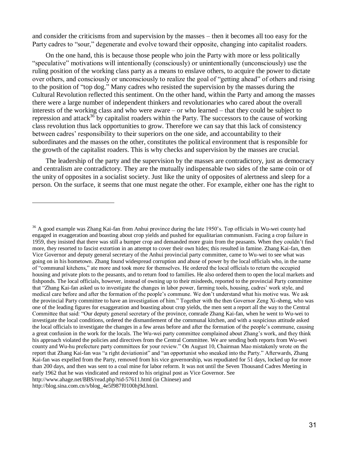and consider the criticisms from and supervision by the masses – then it becomes all too easy for the Party cadres to "sour," degenerate and evolve toward their opposite, changing into capitalist roaders.

On the one hand, this is because those people who join the Party with more or less politically "speculative" motivations will intentionally (consciously) or unintentionally (unconsciously) use the ruling position of the working class party as a means to enslave others, to acquire the power to dictate over others, and consciously or unconsciously to realize the goal of "getting ahead" of others and rising to the position of "top dog." Many cadres who resisted the supervision by the masses during the Cultural Revolution reflected this sentiment. On the other hand, within the Party and among the masses there were a large number of independent thinkers and revolutionaries who cared about the overall interests of the working class and who were aware – or who learned – that they could be subject to repression and attack<sup>36</sup> by capitalist roaders within the Party. The successors to the cause of working class revolution thus lack opportunities to grow. Therefore we can say that this lack of consistency between cadres' responsibility to their superiors on the one side, and accountability to their subordinates and the masses on the other, constitutes the political environment that is responsible for the growth of the capitalist roaders. This is why checks and supervision by the masses are crucial.

The leadership of the party and the supervision by the masses are contradictory, just as democracy and centralism are contradictory. They are the mutually indispensable two sides of the same coin or of the unity of opposites in a socialist society. Just like the unity of opposites of alertness and sleep for a person. On the surface, it seems that one must negate the other. For example, either one has the right to

<sup>&</sup>lt;sup>36</sup> A good example was Zhang Kai-fan from Anhui province during the late 1950's. Top officials in Wu-wei county had engaged in exaggeration and boasting about crop yields and pushed for equalitarian communism. Facing a crop failure in 1959, they insisted that there was still a bumper crop and demanded more grain from the peasants. When they couldn't find more, they resorted to fascist extortion in an attempt to cover their own hides; this resulted in famine. Zhang Kai-fan, then Vice Governor and deputy general secretary of the Anhui provincial party committee, came to Wu-wei to see what was going on in his hometown. Zhang found widespread corruption and abuse of power by the local officials who, in the name of "communal kitchens," ate more and took more for themselves. He ordered the local officials to return the occupied housing and private plots to the peasants, and to return food to families. He also ordered them to open the local markets and fishponds. The local officials, however, instead of owning up to their misdeeds, reported to the provincial Party committee that "Zhang Kai-fan asked us to investigate the changes in labor power, farming tools, housing, cadres' work style, and medical care before and after the formation of the people's commune. We don't understand what his motive was. We ask the provincial Party committee to have an investigation of him." Together with the then Governor Zeng Xi-sheng, who was one of the leading figures for exaggeration and boasting about crop yields, the men sent a report all the way to the Central Committee that said: "Our deputy general secretary of the province, comrade Zhang Kai-fan, when he went to Wu-wei to investigate the local conditions, ordered the dismantlement of the communal kitchen, and with a suspicious attitude asked the local officials to investigate the changes in a few areas before and after the formation of the people's commune, causing a great confusion in the work for the locals. The Wu-wei party committee complained about Zhang's work, and they think his approach violated the policies and directives from the Central Committee. We are sending both reports from Wu-wei county and Wu-hu prefecture party committees for your review." On August 10, Chairman Mao mistakenly wrote on the report that Zhang Kai-fan was "a right deviationist" and "an opportunist who sneaked into the Party." Afterwards, Zhang Kai-fan was expelled from the Party, removed from his vice governorship, was repudiated for 51 days, locked up for more than 200 days, and then was sent to a coal mine for labor reform. It was not until the Seven Thousand Cadres Meeting in early 1962 that he was vindicated and restored to his original post as Vice Governor. See http://www.ahage.net/BBS/read.php?tid-57611.html (in Chinese) and

http://blog.sina.com.cn/s/blog\_4e5f987f0100hj9d.html.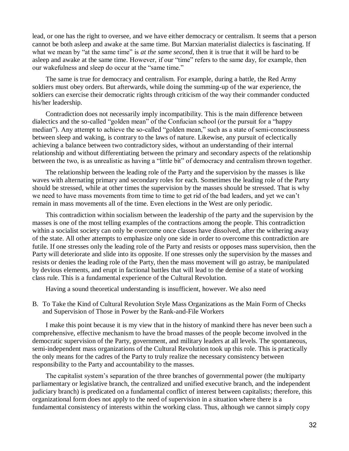lead, or one has the right to oversee, and we have either democracy or centralism. It seems that a person cannot be both asleep and awake at the same time. But Marxian materialist dialectics is fascinating. If what we mean by "at the same time" is *at the same second*, then it is true that it will be hard to be asleep and awake at the same time. However, if our "time" refers to the same day, for example, then our wakefulness and sleep do occur at the "same time."

The same is true for democracy and centralism. For example, during a battle, the Red Army soldiers must obey orders. But afterwards, while doing the summing-up of the war experience, the soldiers can exercise their democratic rights through criticism of the way their commander conducted his/her leadership.

Contradiction does not necessarily imply incompatibility. This is the main difference between dialectics and the so-called "golden mean" of the Confucian school (or the pursuit for a "happy median"). Any attempt to achieve the so-called "golden mean," such as a state of semi-consciousness between sleep and waking, is contrary to the laws of nature. Likewise, any pursuit of eclectically achieving a balance between two contradictory sides, without an understanding of their internal relationship and without differentiating between the primary and secondary aspects of the relationship between the two, is as unrealistic as having a "little bit" of democracy and centralism thrown together.

The relationship between the leading role of the Party and the supervision by the masses is like waves with alternating primary and secondary roles for each. Sometimes the leading role of the Party should be stressed, while at other times the supervision by the masses should be stressed. That is why we need to have mass movements from time to time to get rid of the bad leaders, and yet we can't remain in mass movements all of the time. Even elections in the West are only periodic.

This contradiction within socialism between the leadership of the party and the supervision by the masses is one of the most telling examples of the contractions among the people. This contradiction within a socialist society can only be overcome once classes have dissolved, after the withering away of the state. All other attempts to emphasize only one side in order to overcome this contradiction are futile. If one stresses only the leading role of the Party and resists or opposes mass supervision, then the Party will deteriorate and slide into its opposite. If one stresses only the supervision by the masses and resists or denies the leading role of the Party, then the mass movement will go astray, be manipulated by devious elements, and erupt in factional battles that will lead to the demise of a state of working class rule. This is a fundamental experience of the Cultural Revolution.

Having a sound theoretical understanding is insufficient, however. We also need

B. To Take the Kind of Cultural Revolution Style Mass Organizations as the Main Form of Checks and Supervision of Those in Power by the Rank-and-File Workers

I make this point because it is my view that in the history of mankind there has never been such a comprehensive, effective mechanism to have the broad masses of the people become involved in the democratic supervision of the Party, government, and military leaders at all levels. The spontaneous, semi-independent mass organizations of the Cultural Revolution took up this role. This is practically the only means for the cadres of the Party to truly realize the necessary consistency between responsibility to the Party and accountability to the masses.

The capitalist system's separation of the three branches of governmental power (the multiparty parliamentary or legislative branch, the centralized and unified executive branch, and the independent judiciary branch) is predicated on a fundamental conflict of interest between capitalists; therefore, this organizational form does not apply to the need of supervision in a situation where there is a fundamental consistency of interests within the working class. Thus, although we cannot simply copy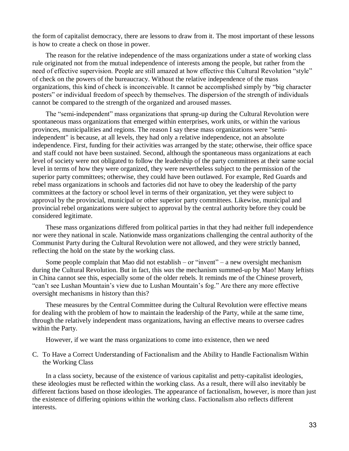the form of capitalist democracy, there are lessons to draw from it. The most important of these lessons is how to create a check on those in power.

The reason for the relative independence of the mass organizations under a state of working class rule originated not from the mutual independence of interests among the people, but rather from the need of effective supervision. People are still amazed at how effective this Cultural Revolution "style" of check on the powers of the bureaucracy. Without the relative independence of the mass organizations, this kind of check is inconceivable. It cannot be accomplished simply by "big character posters" or individual freedom of speech by themselves. The dispersion of the strength of individuals cannot be compared to the strength of the organized and aroused masses.

The "semi-independent" mass organizations that sprung-up during the Cultural Revolution were spontaneous mass organizations that emerged within enterprises, work units, or within the various provinces, municipalities and regions. The reason I say these mass organizations were "semiindependent" is because, at all levels, they had only a relative independence, not an absolute independence. First, funding for their activities was arranged by the state; otherwise, their office space and staff could not have been sustained. Second, although the spontaneous mass organizations at each level of society were not obligated to follow the leadership of the party committees at their same social level in terms of how they were organized, they were nevertheless subject to the permission of the superior party committees; otherwise, they could have been outlawed. For example, Red Guards and rebel mass organizations in schools and factories did not have to obey the leadership of the party committees at the factory or school level in terms of their organization, yet they were subject to approval by the provincial, municipal or other superior party committees. Likewise, municipal and provincial rebel organizations were subject to approval by the central authority before they could be considered legitimate.

These mass organizations differed from political parties in that they had neither full independence nor were they national in scale. Nationwide mass organizations challenging the central authority of the Communist Party during the Cultural Revolution were not allowed, and they were strictly banned, reflecting the hold on the state by the working class.

Some people complain that Mao did not establish – or "invent" – a new oversight mechanism during the Cultural Revolution. But in fact, this *was* the mechanism summed-up by Mao! Many leftists in China cannot see this, especially some of the older rebels. It reminds me of the Chinese proverb, "can't see Lushan Mountain's view due to Lushan Mountain's fog." Are there any more effective oversight mechanisms in history than this?

These measures by the Central Committee during the Cultural Revolution were effective means for dealing with the problem of how to maintain the leadership of the Party, while at the same time, through the relatively independent mass organizations, having an effective means to oversee cadres within the Party.

However, if we want the mass organizations to come into existence, then we need

C. To Have a Correct Understanding of Factionalism and the Ability to Handle Factionalism Within the Working Class

In a class society, because of the existence of various capitalist and petty-capitalist ideologies, these ideologies must be reflected within the working class. As a result, there will also inevitably be different factions based on those ideologies. The appearance of factionalism, however, is more than just the existence of differing opinions within the working class. Factionalism also reflects different interests.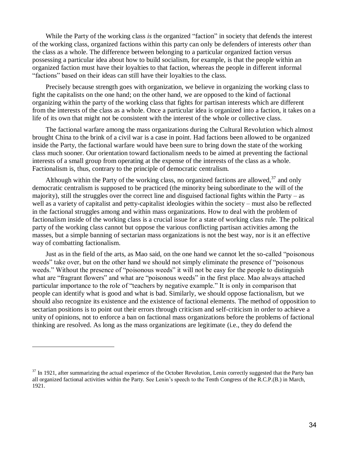While the Party of the working class *is* the organized "faction" in society that defends the interest of the working class, organized factions within this party can only be defenders of interests *other* than the class as a whole. The difference between belonging to a particular organized faction versus possessing a particular idea about how to build socialism, for example, is that the people within an organized faction must have their loyalties to that faction, whereas the people in different informal "factions" based on their ideas can still have their loyalties to the class.

Precisely because strength goes with organization, we believe in organizing the working class to fight the capitalists on the one hand; on the other hand, we are opposed to the kind of factional organizing within the party of the working class that fights for partisan interests which are different from the interests of the class as a whole. Once a particular idea is organized into a faction, it takes on a life of its own that might not be consistent with the interest of the whole or collective class.

The factional warfare among the mass organizations during the Cultural Revolution which almost brought China to the brink of a civil war is a case in point. Had factions been allowed to be organized inside the Party, the factional warfare would have been sure to bring down the state of the working class much sooner. Our orientation toward factionalism needs to be aimed at preventing the factional interests of a small group from operating at the expense of the interests of the class as a whole. Factionalism is, thus, contrary to the principle of democratic centralism.

Although within the Party of the working class, no organized factions are allowed,  $37$  and only democratic centralism is supposed to be practiced (the minority being subordinate to the will of the majority), still the struggles over the correct line and disguised factional fights within the Party – as well as a variety of capitalist and petty-capitalist ideologies within the society – must also be reflected in the factional struggles among and within mass organizations. How to deal with the problem of factionalism inside of the working class is a crucial issue for a state of working class rule. The political party of the working class cannot but oppose the various conflicting partisan activities among the masses, but a simple banning of sectarian mass organizations is not the best way, nor is it an effective way of combatting factionalism.

Just as in the field of the arts, as Mao said, on the one hand we cannot let the so-called "poisonous weeds" take over, but on the other hand we should not simply eliminate the presence of "poisonous weeds." Without the presence of "poisonous weeds" it will not be easy for the people to distinguish what are "fragrant flowers" and what are "poisonous weeds" in the first place. Mao always attached particular importance to the role of "teachers by negative example." It is only in comparison that people can identify what is good and what is bad. Similarly, we should oppose factionalism, but we should also recognize its existence and the existence of factional elements. The method of opposition to sectarian positions is to point out their errors through criticism and self-criticism in order to achieve a unity of opinions, not to enforce a ban on factional mass organizations before the problems of factional thinking are resolved. As long as the mass organizations are legitimate (i.e., they do defend the

 $37$  In 1921, after summarizing the actual experience of the October Revolution, Lenin correctly suggested that the Party ban all organized factional activities within the Party. See Lenin's speech to the Tenth Congress of the R.C.P.(B.) in March, 1921.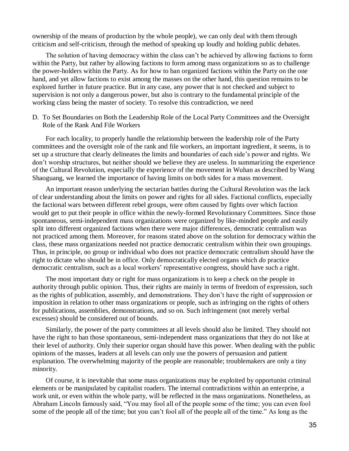ownership of the means of production by the whole people), we can only deal with them through criticism and self-criticism, through the method of speaking up loudly and holding public debates.

The solution of having democracy within the class can't be achieved by allowing factions to form within the Party, but rather by allowing factions to form among mass organizations so as to challenge the power-holders within the Party. As for how to ban organized factions within the Party on the one hand, and yet allow factions to exist among the masses on the other hand, this question remains to be explored further in future practice. But in any case, any power that is not checked and subject to supervision is not only a dangerous power, but also is contrary to the fundamental principle of the working class being the master of society. To resolve this contradiction, we need

D. To Set Boundaries on Both the Leadership Role of the Local Party Committees and the Oversight Role of the Rank And File Workers

For each locality, to properly handle the relationship between the leadership role of the Party committees and the oversight role of the rank and file workers, an important ingredient, it seems, is to set up a structure that clearly delineates the limits and boundaries of each side's power and rights. We don't worship structures, but neither should we believe they are useless. In summarizing the experience of the Cultural Revolution, especially the experience of the movement in Wuhan as described by Wang Shaoguang, we learned the importance of having limits on both sides for a mass movement.

An important reason underlying the sectarian battles during the Cultural Revolution was the lack of clear understanding about the limits on power and rights for all sides. Factional conflicts, especially the factional wars between different rebel groups, were often caused by fights over which faction would get to put their people in office within the newly-formed Revolutionary Committees. Since those spontaneous, semi-independent mass organizations were organized by like-minded people and easily split into different organized factions when there were major differences, democratic centralism was not practiced among them. Moreover, for reasons stated above on the solution for democracy within the class, these mass organizations needed not practice democratic centralism within their own groupings. Thus, in principle, no group or individual who does not practice democratic centralism should have the right to dictate who should be in office. Only democratically elected organs which *do* practice democratic centralism, such as a local workers' representative congress, should have such a right.

The most important duty or right for mass organizations is to keep a check on the people in authority through public opinion. Thus, their rights are mainly in terms of freedom of expression, such as the rights of publication, assembly, and demonstrations. They don't have the right of suppression or imposition in relation to other mass organizations or people, such as infringing on the rights of others for publications, assemblies, demonstrations, and so on. Such infringement (not merely verbal excesses) should be considered out of bounds.

Similarly, the power of the party committees at all levels should also be limited. They should not have the right to ban those spontaneous, semi-independent mass organizations that they do not like at their level of authority. Only their superior organ should have this power. When dealing with the public opinions of the masses, leaders at all levels can only use the powers of persuasion and patient explanation. The overwhelming majority of the people are reasonable; troublemakers are only a tiny minority.

Of course, it is inevitable that some mass organizations may be exploited by opportunist criminal elements or be manipulated by capitalist roaders. The internal contradictions within an enterprise, a work unit, or even within the whole party, will be reflected in the mass organizations. Nonetheless, as Abraham Lincoln famously said, "You may fool all of the people some of the time; you can even fool some of the people all of the time; but you can't fool all of the people all of the time." As long as the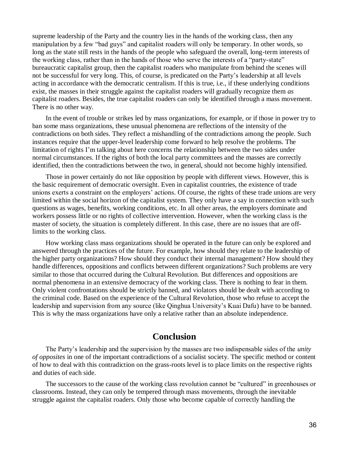supreme leadership of the Party and the country lies in the hands of the working class, then any manipulation by a few "bad guys" and capitalist roaders will only be temporary. In other words, so long as the state still rests in the hands of the people who safeguard the overall, long-term interests of the working class, rather than in the hands of those who serve the interests of a "party-state" bureaucratic capitalist group, then the capitalist roaders who manipulate from behind the scenes will not be successful for very long. This, of course, is predicated on the Party's leadership at all levels acting in accordance with the democratic centralism. If this is true, i.e., if these underlying conditions exist, the masses in their struggle against the capitalist roaders will gradually recognize them *as* capitalist roaders. Besides, the true capitalist roaders can only be identified through a mass movement. There is no other way.

In the event of trouble or strikes led by mass organizations, for example, or if those in power try to ban some mass organizations, these unusual phenomena are reflections of the intensity of the contradictions on both sides. They reflect a mishandling of the contradictions among the people. Such instances require that the upper-level leadership come forward to help resolve the problems. The limitation of rights I'm talking about here concerns the relationship between the two sides under normal circumstances. If the rights of both the local party committees and the masses are correctly identified, then the contradictions between the two, in general, should not become highly intensified.

Those in power certainly do not like opposition by people with different views. However, this is the basic requirement of democratic oversight. Even in capitalist countries, the existence of trade unions exerts a constraint on the employers' actions. Of course, the rights of these trade unions are very limited within the social horizon of the capitalist system. They only have a say in connection with such questions as wages, benefits, working conditions, etc. In all other areas, the employers dominate and workers possess little or no rights of collective intervention. However, when the working class is the master of society, the situation is completely different. In this case, there are no issues that are offlimits to the working class.

How working class mass organizations should be operated in the future can only be explored and answered through the practices of the future. For example, how should they relate to the leadership of the higher party organizations? How should they conduct their internal management? How should they handle differences, oppositions and conflicts between different organizations? Such problems are very similar to those that occurred during the Cultural Revolution. But differences and oppositions are normal phenomena in an extensive democracy of the working class. There is nothing to fear in them. Only violent confrontations should be strictly banned, and violators should be dealt with according to the criminal code. Based on the experience of the Cultural Revolution, those who refuse to accept the leadership and supervision from any source (like Qinghua University's Kuai Dafu) have to be banned. This is why the mass organizations have only a relative rather than an absolute independence.

# **Conclusion**

The Party's leadership and the supervision by the masses are two indispensable sides of the *unity of opposites* in one of the important contradictions of a socialist society. The specific method or content of how to deal with this contradiction on the grass-roots level is to place limits on the respective rights and duties of each side.

The successors to the cause of the working class revolution cannot be "cultured" in greenhouses or classrooms. Instead, they can only be tempered through mass movements, through the inevitable struggle against the capitalist roaders. Only those who become capable of correctly handling the